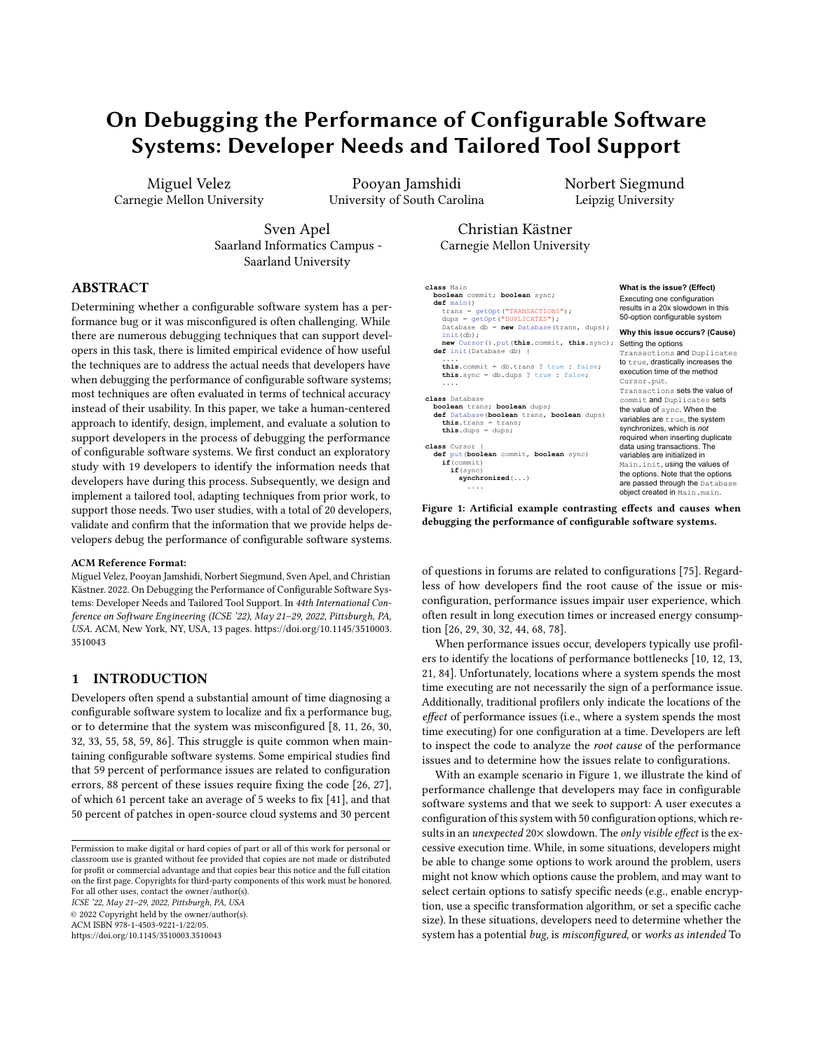# On Debugging the Performance of Configurable Software Systems: Developer Needs and Tailored Tool Support

Miguel Velez Carnegie Mellon University

Pooyan Jamshidi University of South Carolina Norbert Siegmund Leipzig University

Sven Apel Saarland Informatics Campus - Saarland University

Christian Kästner Carnegie Mellon University

# ABSTRACT

Determining whether a configurable software system has a performance bug or it was misconfigured is often challenging. While there are numerous debugging techniques that can support developers in this task, there is limited empirical evidence of how useful the techniques are to address the actual needs that developers have when debugging the performance of configurable software systems; most techniques are often evaluated in terms of technical accuracy instead of their usability. In this paper, we take a human-centered approach to identify, design, implement, and evaluate a solution to support developers in the process of debugging the performance of configurable software systems. We first conduct an exploratory study with 19 developers to identify the information needs that developers have during this process. Subsequently, we design and implement a tailored tool, adapting techniques from prior work, to support those needs. Two user studies, with a total of 20 developers, validate and confirm that the information that we provide helps developers debug the performance of configurable software systems.

#### ACM Reference Format:

Miguel Velez, Pooyan Jamshidi, Norbert Siegmund, Sven Apel, and Christian Kästner. 2022. On Debugging the Performance of Configurable Software Systems: Developer Needs and Tailored Tool Support. In 44th International Conference on Software Engineering (ICSE '22), May 21–29, 2022, Pittsburgh, PA, USA. ACM, New York, NY, USA, [13](#page-12-0) pages. [https://doi.org/10.1145/3510003.](https://doi.org/10.1145/3510003.3510043) [3510043](https://doi.org/10.1145/3510003.3510043)

# 1 INTRODUCTION

Developers often spend a substantial amount of time diagnosing a configurable software system to localize and fix a performance bug, or to determine that the system was misconfigured [\[8,](#page-10-0) [11,](#page-10-1) [26,](#page-11-0) [30,](#page-11-1) [32,](#page-11-2) [33,](#page-11-3) [55,](#page-11-4) [58,](#page-11-5) [59,](#page-12-1) [86\]](#page-12-2). This struggle is quite common when maintaining configurable software systems. Some empirical studies find that 59 percent of performance issues are related to configuration errors, 88 percent of these issues require fixing the code [\[26,](#page-11-0) [27\]](#page-11-6), of which 61 percent take an average of 5 weeks to fix [\[41\]](#page-11-7), and that 50 percent of patches in open-source cloud systems and 30 percent

© 2022 Copyright held by the owner/author(s).

ACM ISBN 978-1-4503-9221-1/22/05.

<https://doi.org/10.1145/3510003.3510043>

<span id="page-0-0"></span>**class** Main **boolean** commit; **boolean** sync; **def** main() trans = getOpt("TRANSACTIONS"); dups = getOpt("DUPLICATES"); Database db = **new** Database(trans, dups); init(db); **new** Cursor().put(**this**.commit, **this**.sync); **def** init(Database db) { .... **this**.commit = db.trans ? true : false; **this**.sync = db.dups ? true : false; .... **class** Database **boolean** trans; **boolean** dups; **def** Database(**boolean** trans, **boolean** dups) **this**.trans = trans; **this**.dups = dups; **class** Cursor { **def** put(**boolean** commit, **boolean** sync) **if**(commit) **if**(sync) **synchronized**(...) .... **What is the issue? (Effect)** Executing one configuration results in a 20x slowdown in this 50-option configurable system **Why this issue occurs? (Cause)** Setting the options Transactions and Duplicates to true, drastically increases the execution time of the method Cursor.put. Transactions sets the value of commit and Duplicates sets the value of sync. When the variables are true, the system synchronizes, which is *not* required when inserting duplicate data using transactions. The variables are initialized in Main.init, using the values of the options. Note that the options are passed through the Database object created in Main.main.

Figure 1: Artificial example contrasting effects and causes when debugging the performance of configurable software systems.

of questions in forums are related to configurations [\[75\]](#page-12-3). Regardless of how developers find the root cause of the issue or misconfiguration, performance issues impair user experience, which often result in long execution times or increased energy consumption [\[26,](#page-11-0) [29,](#page-11-8) [30,](#page-11-1) [32,](#page-11-2) [44,](#page-11-9) [68,](#page-12-4) [78\]](#page-12-5).

When performance issues occur, developers typically use profilers to identify the locations of performance bottlenecks [\[10,](#page-10-2) [12,](#page-11-10) [13,](#page-11-11) [21,](#page-11-12) [84\]](#page-12-6). Unfortunately, locations where a system spends the most time executing are not necessarily the sign of a performance issue. Additionally, traditional profilers only indicate the locations of the effect of performance issues (i.e., where a system spends the most time executing) for one configuration at a time. Developers are left to inspect the code to analyze the root cause of the performance issues and to determine how the issues relate to configurations.

With an example scenario in Figure [1,](#page-0-0) we illustrate the kind of performance challenge that developers may face in configurable software systems and that we seek to support: A user executes a configuration of this system with 50 configuration options, which results in an *unexpected* 20× slowdown. The only visible effect is the excessive execution time. While, in some situations, developers might be able to change some options to work around the problem, users might not know which options cause the problem, and may want to select certain options to satisfy specific needs (e.g., enable encryption, use a specific transformation algorithm, or set a specific cache size). In these situations, developers need to determine whether the system has a potential bug, is misconfigured, or works as intended To

Permission to make digital or hard copies of part or all of this work for personal or classroom use is granted without fee provided that copies are not made or distributed for profit or commercial advantage and that copies bear this notice and the full citation on the first page. Copyrights for third-party components of this work must be honored. For all other uses, contact the owner/author(s). ICSE '22, May 21–29, 2022, Pittsburgh, PA, USA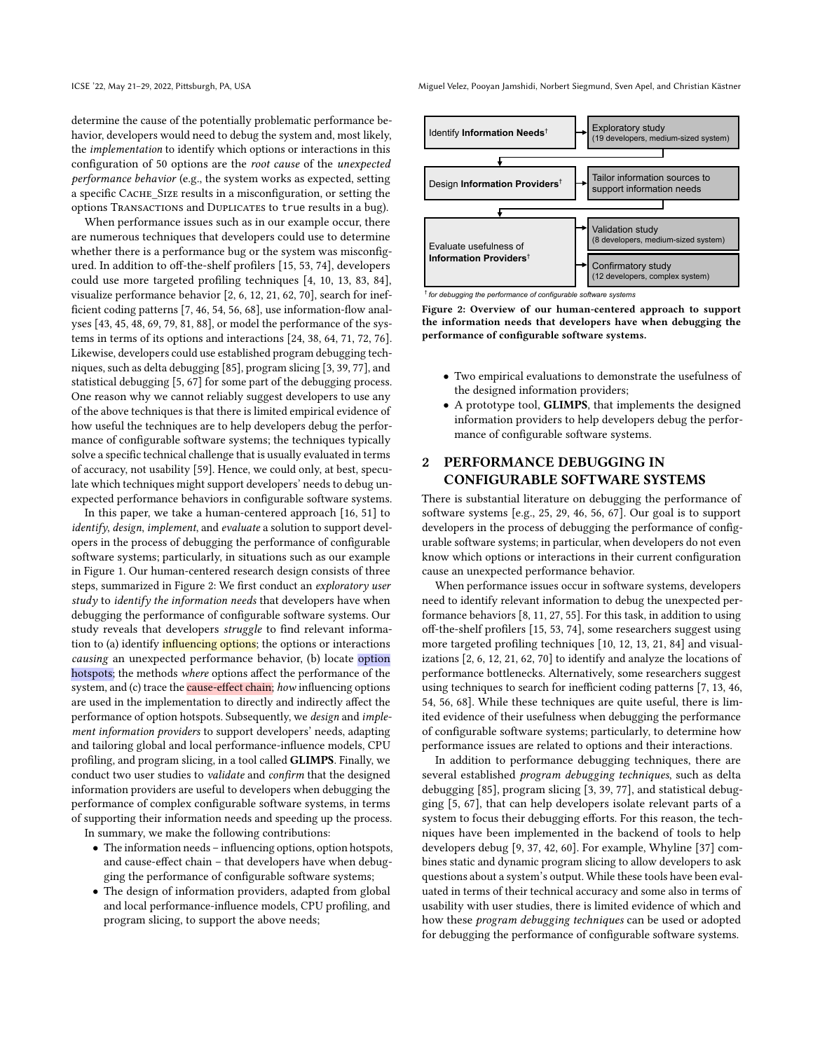determine the cause of the potentially problematic performance behavior, developers would need to debug the system and, most likely, the implementation to identify which options or interactions in this configuration of 50 options are the root cause of the unexpected performance behavior (e.g., the system works as expected, setting a specific CACHE SIZE results in a misconfiguration, or setting the options TRANSACTIONS and DUPLICATES to true results in a bug).

When performance issues such as in our example occur, there are numerous techniques that developers could use to determine whether there is a performance bug or the system was misconfigured. In addition to off-the-shelf profilers [\[15,](#page-11-13) [53,](#page-11-14) [74\]](#page-12-7), developers could use more targeted profiling techniques [\[4,](#page-10-3) [10,](#page-10-2) [13,](#page-11-11) [83,](#page-12-8) [84\]](#page-12-6), visualize performance behavior [\[2,](#page-10-4) [6,](#page-10-5) [12,](#page-11-10) [21,](#page-11-12) [62,](#page-12-9) [70\]](#page-12-10), search for inefficient coding patterns [\[7,](#page-10-6) [46,](#page-11-15) [54,](#page-11-16) [56,](#page-11-17) [68\]](#page-12-4), use information-flow analyses [\[43,](#page-11-18) [45,](#page-11-19) [48,](#page-11-20) [69,](#page-12-11) [79,](#page-12-12) [81,](#page-12-13) [88\]](#page-12-14), or model the performance of the systems in terms of its options and interactions [\[24,](#page-11-21) [38,](#page-11-22) [64,](#page-12-15) [71,](#page-12-16) [72,](#page-12-17) [76\]](#page-12-18). Likewise, developers could use established program debugging techniques, such as delta debugging [\[85\]](#page-12-19), program slicing [\[3,](#page-10-7) [39,](#page-11-23) [77\]](#page-12-20), and statistical debugging [\[5,](#page-10-8) [67\]](#page-12-21) for some part of the debugging process. One reason why we cannot reliably suggest developers to use any of the above techniques is that there is limited empirical evidence of how useful the techniques are to help developers debug the performance of configurable software systems; the techniques typically solve a specific technical challenge that is usually evaluated in terms of accuracy, not usability [\[59\]](#page-12-1). Hence, we could only, at best, speculate which techniques might support developers' needs to debug unexpected performance behaviors in configurable software systems.

In this paper, we take a human-centered approach [\[16,](#page-11-24) [51\]](#page-11-25) to identify, design, implement, and evaluate a solution to support developers in the process of debugging the performance of configurable software systems; particularly, in situations such as our example in Figure [1.](#page-0-0) Our human-centered research design consists of three steps, summarized in Figure [2:](#page-1-0) We first conduct an exploratory user study to identify the information needs that developers have when debugging the performance of configurable software systems. Our study reveals that developers struggle to find relevant information to (a) identify **influencing options**; the options or interactions causing an unexpected performance behavior, (b) locate option hotspots; the methods where options affect the performance of the system, and (c) trace the **cause-effect chain**; how influencing options are used in the implementation to directly and indirectly affect the performance of option hotspots. Subsequently, we design and implement information providers to support developers' needs, adapting and tailoring global and local performance-influence models, CPU profiling, and program slicing, in a tool called GLIMPS. Finally, we conduct two user studies to validate and confirm that the designed information providers are useful to developers when debugging the performance of complex configurable software systems, in terms of supporting their information needs and speeding up the process.

In summary, we make the following contributions:

- The information needs influencing options, option hotspots, and cause-effect chain – that developers have when debugging the performance of configurable software systems;
- The design of information providers, adapted from global and local performance-influence models, CPU profiling, and program slicing, to support the above needs;

ICSE '22, May 21–29, 2022, Pittsburgh, PA, USA Miguel Velez, Pooyan Jamshidi, Norbert Siegmund, Sven Apel, and Christian Kästner

<span id="page-1-0"></span>

† *for debugging the performance of configurable software systems*

Figure 2: Overview of our human-centered approach to support the information needs that developers have when debugging the performance of configurable software systems.

- Two empirical evaluations to demonstrate the usefulness of the designed information providers;
- A prototype tool, GLIMPS, that implements the designed information providers to help developers debug the performance of configurable software systems.

# 2 PERFORMANCE DEBUGGING IN CONFIGURABLE SOFTWARE SYSTEMS

There is substantial literature on debugging the performance of software systems [e.g., [25,](#page-11-26) [29,](#page-11-8) [46,](#page-11-15) [56,](#page-11-17) [67\]](#page-12-21). Our goal is to support developers in the process of debugging the performance of configurable software systems; in particular, when developers do not even know which options or interactions in their current configuration cause an unexpected performance behavior.

When performance issues occur in software systems, developers need to identify relevant information to debug the unexpected performance behaviors [\[8,](#page-10-0) [11,](#page-10-1) [27,](#page-11-6) [55\]](#page-11-4). For this task, in addition to using off-the-shelf profilers [\[15,](#page-11-13) [53,](#page-11-14) [74\]](#page-12-7), some researchers suggest using more targeted profiling techniques [\[10,](#page-10-2) [12,](#page-11-10) [13,](#page-11-11) [21,](#page-11-12) [84\]](#page-12-6) and visualizations [\[2,](#page-10-4) [6,](#page-10-5) [12,](#page-11-10) [21,](#page-11-12) [62,](#page-12-9) [70\]](#page-12-10) to identify and analyze the locations of performance bottlenecks. Alternatively, some researchers suggest using techniques to search for inefficient coding patterns [\[7,](#page-10-6) [13,](#page-11-11) [46,](#page-11-15) [54,](#page-11-16) [56,](#page-11-17) [68\]](#page-12-4). While these techniques are quite useful, there is limited evidence of their usefulness when debugging the performance of configurable software systems; particularly, to determine how performance issues are related to options and their interactions.

In addition to performance debugging techniques, there are several established program debugging techniques, such as delta debugging [\[85\]](#page-12-19), program slicing [\[3,](#page-10-7) [39,](#page-11-23) [77\]](#page-12-20), and statistical debugging [\[5,](#page-10-8) [67\]](#page-12-21), that can help developers isolate relevant parts of a system to focus their debugging efforts. For this reason, the techniques have been implemented in the backend of tools to help developers debug [\[9,](#page-10-9) [37,](#page-11-27) [42,](#page-11-28) [60\]](#page-12-22). For example, Whyline [\[37\]](#page-11-27) combines static and dynamic program slicing to allow developers to ask questions about a system's output. While these tools have been evaluated in terms of their technical accuracy and some also in terms of usability with user studies, there is limited evidence of which and how these program debugging techniques can be used or adopted for debugging the performance of configurable software systems.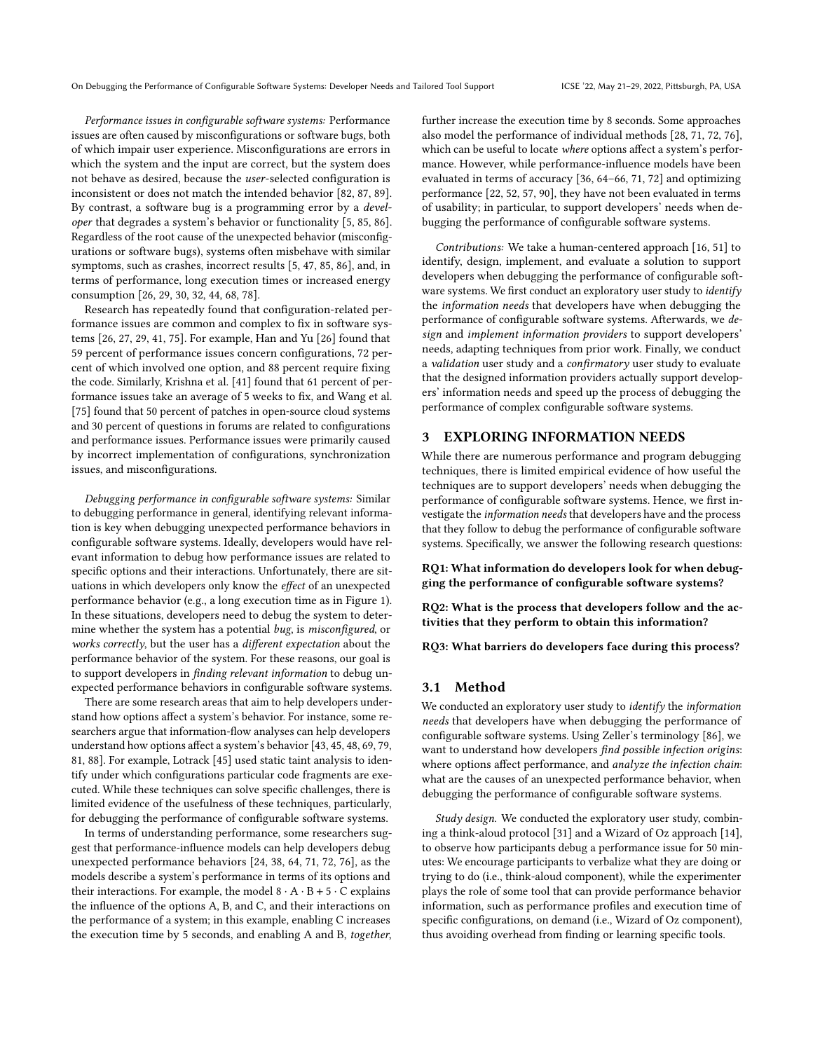Performance issues in configurable software systems: Performance issues are often caused by misconfigurations or software bugs, both of which impair user experience. Misconfigurations are errors in which the system and the input are correct, but the system does not behave as desired, because the user-selected configuration is inconsistent or does not match the intended behavior [\[82,](#page-12-23) [87,](#page-12-24) [89\]](#page-12-25). By contrast, a software bug is a programming error by a developer that degrades a system's behavior or functionality [\[5,](#page-10-8) [85,](#page-12-19) [86\]](#page-12-2). Regardless of the root cause of the unexpected behavior (misconfigurations or software bugs), systems often misbehave with similar symptoms, such as crashes, incorrect results [\[5,](#page-10-8) [47,](#page-11-29) [85,](#page-12-19) [86\]](#page-12-2), and, in terms of performance, long execution times or increased energy consumption [\[26,](#page-11-0) [29,](#page-11-8) [30,](#page-11-1) [32,](#page-11-2) [44,](#page-11-9) [68,](#page-12-4) [78\]](#page-12-5).

Research has repeatedly found that configuration-related performance issues are common and complex to fix in software systems [\[26,](#page-11-0) [27,](#page-11-6) [29,](#page-11-8) [41,](#page-11-7) [75\]](#page-12-3). For example, Han and Yu [\[26\]](#page-11-0) found that 59 percent of performance issues concern configurations, 72 percent of which involved one option, and 88 percent require fixing the code. Similarly, Krishna et al. [\[41\]](#page-11-7) found that 61 percent of performance issues take an average of 5 weeks to fix, and Wang et al. [\[75\]](#page-12-3) found that 50 percent of patches in open-source cloud systems and 30 percent of questions in forums are related to configurations and performance issues. Performance issues were primarily caused by incorrect implementation of configurations, synchronization issues, and misconfigurations.

Debugging performance in configurable software systems: Similar to debugging performance in general, identifying relevant information is key when debugging unexpected performance behaviors in configurable software systems. Ideally, developers would have relevant information to debug how performance issues are related to specific options and their interactions. Unfortunately, there are situations in which developers only know the effect of an unexpected performance behavior (e.g., a long execution time as in Figure [1\)](#page-0-0). In these situations, developers need to debug the system to determine whether the system has a potential bug, is misconfigured, or works correctly, but the user has a different expectation about the performance behavior of the system. For these reasons, our goal is to support developers in finding relevant information to debug unexpected performance behaviors in configurable software systems.

There are some research areas that aim to help developers understand how options affect a system's behavior. For instance, some researchers argue that information-flow analyses can help developers understand how options affect a system's behavior [\[43,](#page-11-18) [45,](#page-11-19) [48,](#page-11-20) [69,](#page-12-11) [79,](#page-12-12) [81,](#page-12-13) [88\]](#page-12-14). For example, Lotrack [\[45\]](#page-11-19) used static taint analysis to identify under which configurations particular code fragments are executed. While these techniques can solve specific challenges, there is limited evidence of the usefulness of these techniques, particularly, for debugging the performance of configurable software systems.

In terms of understanding performance, some researchers suggest that performance-influence models can help developers debug unexpected performance behaviors [\[24,](#page-11-21) [38,](#page-11-22) [64,](#page-12-15) [71,](#page-12-16) [72,](#page-12-17) [76\]](#page-12-18), as the models describe a system's performance in terms of its options and their interactions. For example, the model  $8 \cdot A \cdot B + 5 \cdot C$  explains the influence of the options A, B, and C, and their interactions on the performance of a system; in this example, enabling C increases the execution time by 5 seconds, and enabling A and B, together, further increase the execution time by 8 seconds. Some approaches also model the performance of individual methods [\[28,](#page-11-30) [71,](#page-12-16) [72,](#page-12-17) [76\]](#page-12-18), which can be useful to locate where options affect a system's performance. However, while performance-influence models have been evaluated in terms of accuracy [\[36,](#page-11-31) [64](#page-12-15)[–66,](#page-12-26) [71,](#page-12-16) [72\]](#page-12-17) and optimizing performance [\[22,](#page-11-32) [52,](#page-11-33) [57,](#page-11-34) [90\]](#page-12-27), they have not been evaluated in terms of usability; in particular, to support developers' needs when debugging the performance of configurable software systems.

Contributions: We take a human-centered approach [\[16,](#page-11-24) [51\]](#page-11-25) to identify, design, implement, and evaluate a solution to support developers when debugging the performance of configurable software systems. We first conduct an exploratory user study to identify the information needs that developers have when debugging the performance of configurable software systems. Afterwards, we design and implement information providers to support developers' needs, adapting techniques from prior work. Finally, we conduct a validation user study and a confirmatory user study to evaluate that the designed information providers actually support developers' information needs and speed up the process of debugging the performance of complex configurable software systems.

## 3 EXPLORING INFORMATION NEEDS

While there are numerous performance and program debugging techniques, there is limited empirical evidence of how useful the techniques are to support developers' needs when debugging the performance of configurable software systems. Hence, we first investigate the information needs that developers have and the process that they follow to debug the performance of configurable software systems. Specifically, we answer the following research questions:

RQ1: What information do developers look for when debugging the performance of configurable software systems?

RQ2: What is the process that developers follow and the activities that they perform to obtain this information?

RQ3: What barriers do developers face during this process?

#### 3.1 Method

We conducted an exploratory user study to identify the information needs that developers have when debugging the performance of configurable software systems. Using Zeller's terminology [\[86\]](#page-12-2), we want to understand how developers find possible infection origins: where options affect performance, and analyze the infection chain: what are the causes of an unexpected performance behavior, when debugging the performance of configurable software systems.

Study design. We conducted the exploratory user study, combining a think-aloud protocol [\[31\]](#page-11-35) and a Wizard of Oz approach [\[14\]](#page-11-36), to observe how participants debug a performance issue for 50 minutes: We encourage participants to verbalize what they are doing or trying to do (i.e., think-aloud component), while the experimenter plays the role of some tool that can provide performance behavior information, such as performance profiles and execution time of specific configurations, on demand (i.e., Wizard of Oz component), thus avoiding overhead from finding or learning specific tools.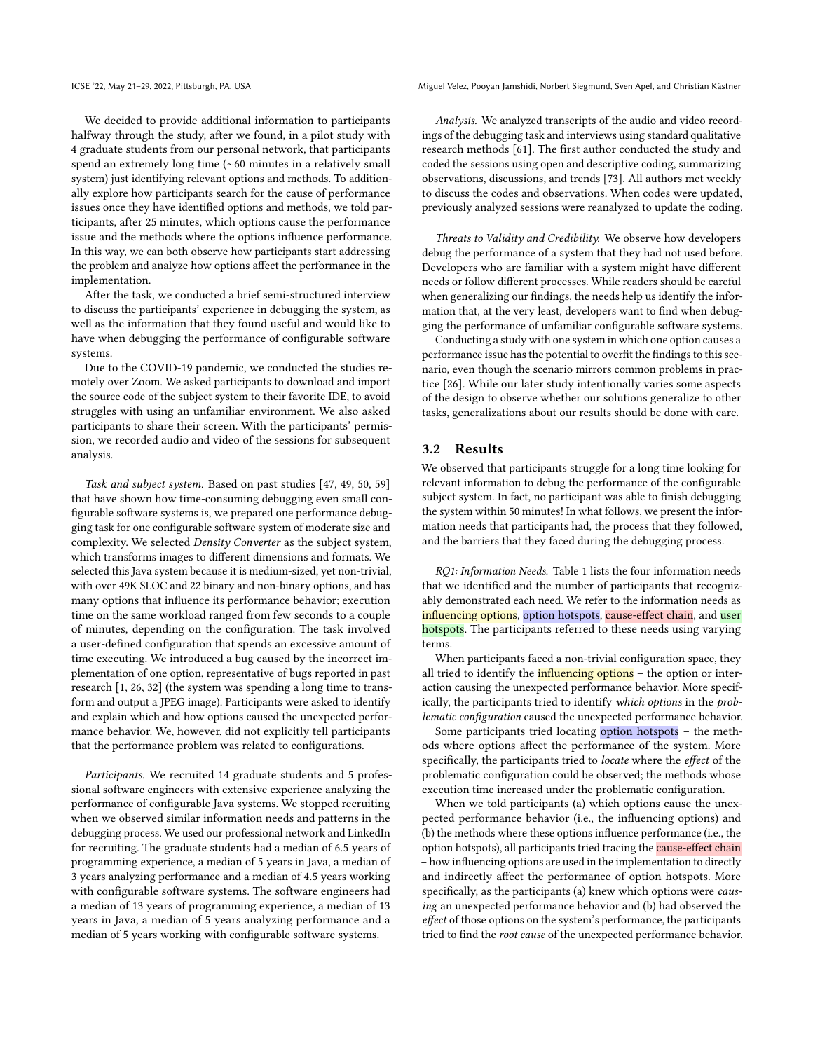We decided to provide additional information to participants halfway through the study, after we found, in a pilot study with 4 graduate students from our personal network, that participants spend an extremely long time (∼60 minutes in a relatively small system) just identifying relevant options and methods. To additionally explore how participants search for the cause of performance issues once they have identified options and methods, we told participants, after 25 minutes, which options cause the performance issue and the methods where the options influence performance. In this way, we can both observe how participants start addressing the problem and analyze how options affect the performance in the implementation.

After the task, we conducted a brief semi-structured interview to discuss the participants' experience in debugging the system, as well as the information that they found useful and would like to have when debugging the performance of configurable software systems.

Due to the COVID-19 pandemic, we conducted the studies remotely over Zoom. We asked participants to download and import the source code of the subject system to their favorite IDE, to avoid struggles with using an unfamiliar environment. We also asked participants to share their screen. With the participants' permission, we recorded audio and video of the sessions for subsequent analysis.

Task and subject system. Based on past studies [\[47,](#page-11-29) [49,](#page-11-37) [50,](#page-11-38) [59\]](#page-12-1) that have shown how time-consuming debugging even small configurable software systems is, we prepared one performance debugging task for one configurable software system of moderate size and complexity. We selected Density Converter as the subject system, which transforms images to different dimensions and formats. We selected this Java system because it is medium-sized, yet non-trivial, with over 49K SLOC and 22 binary and non-binary options, and has many options that influence its performance behavior; execution time on the same workload ranged from few seconds to a couple of minutes, depending on the configuration. The task involved a user-defined configuration that spends an excessive amount of time executing. We introduced a bug caused by the incorrect implementation of one option, representative of bugs reported in past research [\[1,](#page-10-10) [26,](#page-11-0) [32\]](#page-11-2) (the system was spending a long time to transform and output a JPEG image). Participants were asked to identify and explain which and how options caused the unexpected performance behavior. We, however, did not explicitly tell participants that the performance problem was related to configurations.

Participants. We recruited 14 graduate students and 5 professional software engineers with extensive experience analyzing the performance of configurable Java systems. We stopped recruiting when we observed similar information needs and patterns in the debugging process. We used our professional network and LinkedIn for recruiting. The graduate students had a median of 6.5 years of programming experience, a median of 5 years in Java, a median of 3 years analyzing performance and a median of 4.5 years working with configurable software systems. The software engineers had a median of 13 years of programming experience, a median of 13 years in Java, a median of 5 years analyzing performance and a median of 5 years working with configurable software systems.

ICSE '22, May 21–29, 2022, Pittsburgh, PA, USA Miguel Velez, Pooyan Jamshidi, Norbert Siegmund, Sven Apel, and Christian Kästner

Analysis. We analyzed transcripts of the audio and video recordings of the debugging task and interviews using standard qualitative research methods [\[61\]](#page-12-28). The first author conducted the study and coded the sessions using open and descriptive coding, summarizing observations, discussions, and trends [\[73\]](#page-12-29). All authors met weekly to discuss the codes and observations. When codes were updated, previously analyzed sessions were reanalyzed to update the coding.

Threats to Validity and Credibility. We observe how developers debug the performance of a system that they had not used before. Developers who are familiar with a system might have different needs or follow different processes. While readers should be careful when generalizing our findings, the needs help us identify the information that, at the very least, developers want to find when debugging the performance of unfamiliar configurable software systems.

Conducting a study with one system in which one option causes a performance issue has the potential to overfit the findings to this scenario, even though the scenario mirrors common problems in practice [\[26\]](#page-11-0). While our later study intentionally varies some aspects of the design to observe whether our solutions generalize to other tasks, generalizations about our results should be done with care.

## 3.2 Results

We observed that participants struggle for a long time looking for relevant information to debug the performance of the configurable subject system. In fact, no participant was able to finish debugging the system within 50 minutes! In what follows, we present the information needs that participants had, the process that they followed, and the barriers that they faced during the debugging process.

RQ1: Information Needs. Table [1](#page-4-0) lists the four information needs that we identified and the number of participants that recognizably demonstrated each need. We refer to the information needs as influencing options, option hotspots, cause-effect chain, and user hotspots. The participants referred to these needs using varying terms.

When participants faced a non-trivial configuration space, they all tried to identify the *influencing options* - the option or interaction causing the unexpected performance behavior. More specifically, the participants tried to identify which options in the problematic configuration caused the unexpected performance behavior.

Some participants tried locating option hotspots – the methods where options affect the performance of the system. More specifically, the participants tried to locate where the effect of the problematic configuration could be observed; the methods whose execution time increased under the problematic configuration.

When we told participants (a) which options cause the unexpected performance behavior (i.e., the influencing options) and (b) the methods where these options influence performance (i.e., the option hotspots), all participants tried tracing the cause-effect chain – how influencing options are used in the implementation to directly and indirectly affect the performance of option hotspots. More specifically, as the participants (a) knew which options were causing an unexpected performance behavior and (b) had observed the effect of those options on the system's performance, the participants tried to find the root cause of the unexpected performance behavior.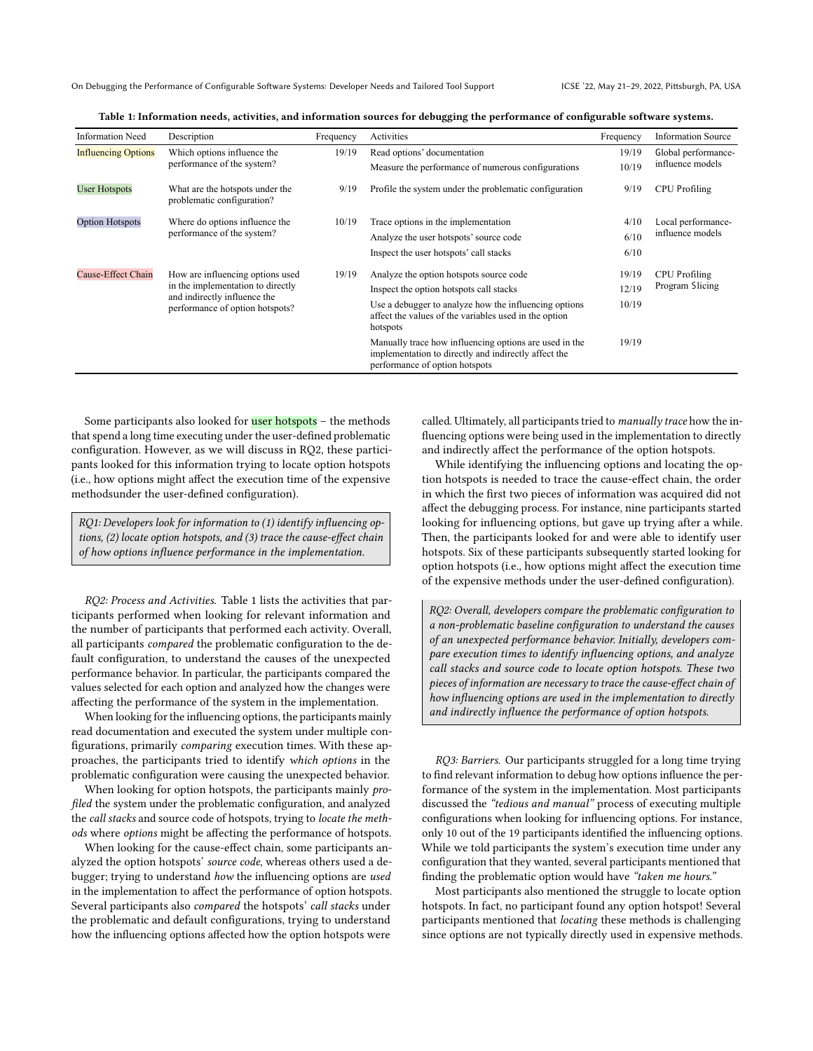On Debugging the Performance of Configurable Software Systems: Developer Needs and Tailored Tool Support ICSE '22, May 21–29, 2022, Pittsburgh, PA, USA

|  | Table 1: Information needs, activities, and information sources for debugging the performance of configurable software systems. |  |
|--|---------------------------------------------------------------------------------------------------------------------------------|--|
|  |                                                                                                                                 |  |

<span id="page-4-0"></span>

| <b>Information Need</b>    | Description                                                                                                                              | Frequency | Activities                                                                                                                                       | Frequency                    | <b>Information Source</b>              |
|----------------------------|------------------------------------------------------------------------------------------------------------------------------------------|-----------|--------------------------------------------------------------------------------------------------------------------------------------------------|------------------------------|----------------------------------------|
| <b>Influencing Options</b> | Which options influence the                                                                                                              | 19/19     | Read options' documentation                                                                                                                      | 19/19<br>Global performance- |                                        |
|                            | performance of the system?                                                                                                               |           | Measure the performance of numerous configurations                                                                                               | 10/19                        | influence models                       |
| <b>User Hotspots</b>       | What are the hotspots under the<br>problematic configuration?                                                                            | 9/19      | Profile the system under the problematic configuration                                                                                           | 9/19                         | CPU Profiling                          |
| <b>Option Hotspots</b>     | Where do options influence the<br>performance of the system?                                                                             | 10/19     | Trace options in the implementation                                                                                                              | 4/10                         | Local performance-<br>influence models |
|                            |                                                                                                                                          |           | Analyze the user hotspots' source code                                                                                                           | 6/10                         |                                        |
|                            |                                                                                                                                          |           | Inspect the user hotspots' call stacks                                                                                                           | 6/10                         |                                        |
| Cause-Effect Chain         | How are influencing options used<br>in the implementation to directly<br>and indirectly influence the<br>performance of option hotspots? | 19/19     | Analyze the option hotspots source code                                                                                                          | 19/19                        | CPU Profiling<br>Program Slicing       |
|                            |                                                                                                                                          |           | Inspect the option hotspots call stacks                                                                                                          | 12/19                        |                                        |
|                            |                                                                                                                                          |           | Use a debugger to analyze how the influencing options<br>affect the values of the variables used in the option<br>hotspots                       | 10/19                        |                                        |
|                            |                                                                                                                                          |           | Manually trace how influencing options are used in the<br>implementation to directly and indirectly affect the<br>performance of option hotspots | 19/19                        |                                        |

Some participants also looked for user hotspots – the methods that spend a long time executing under the user-defined problematic configuration. However, as we will discuss in RQ2, these participants looked for this information trying to locate option hotspots (i.e., how options might affect the execution time of the expensive methodsunder the user-defined configuration).

RQ1: Developers look for information to (1) identify influencing options, (2) locate option hotspots, and (3) trace the cause-effect chain of how options influence performance in the implementation.

RQ2: Process and Activities. Table [1](#page-4-0) lists the activities that participants performed when looking for relevant information and the number of participants that performed each activity. Overall, all participants compared the problematic configuration to the default configuration, to understand the causes of the unexpected performance behavior. In particular, the participants compared the values selected for each option and analyzed how the changes were affecting the performance of the system in the implementation.

When looking for the influencing options, the participants mainly read documentation and executed the system under multiple configurations, primarily comparing execution times. With these approaches, the participants tried to identify which options in the problematic configuration were causing the unexpected behavior.

When looking for option hotspots, the participants mainly profiled the system under the problematic configuration, and analyzed the call stacks and source code of hotspots, trying to locate the methods where options might be affecting the performance of hotspots.

When looking for the cause-effect chain, some participants analyzed the option hotspots' source code, whereas others used a debugger; trying to understand how the influencing options are used in the implementation to affect the performance of option hotspots. Several participants also compared the hotspots' call stacks under the problematic and default configurations, trying to understand how the influencing options affected how the option hotspots were

called. Ultimately, all participants tried to manually trace how the influencing options were being used in the implementation to directly and indirectly affect the performance of the option hotspots.

While identifying the influencing options and locating the option hotspots is needed to trace the cause-effect chain, the order in which the first two pieces of information was acquired did not affect the debugging process. For instance, nine participants started looking for influencing options, but gave up trying after a while. Then, the participants looked for and were able to identify user hotspots. Six of these participants subsequently started looking for option hotspots (i.e., how options might affect the execution time of the expensive methods under the user-defined configuration).

RQ2: Overall, developers compare the problematic configuration to a non-problematic baseline configuration to understand the causes of an unexpected performance behavior. Initially, developers compare execution times to identify influencing options, and analyze call stacks and source code to locate option hotspots. These two pieces of information are necessary to trace the cause-effect chain of how influencing options are used in the implementation to directly and indirectly influence the performance of option hotspots.

RQ3: Barriers. Our participants struggled for a long time trying to find relevant information to debug how options influence the performance of the system in the implementation. Most participants discussed the "tedious and manual" process of executing multiple configurations when looking for influencing options. For instance, only 10 out of the 19 participants identified the influencing options. While we told participants the system's execution time under any configuration that they wanted, several participants mentioned that finding the problematic option would have "taken me hours."

Most participants also mentioned the struggle to locate option hotspots. In fact, no participant found any option hotspot! Several participants mentioned that locating these methods is challenging since options are not typically directly used in expensive methods.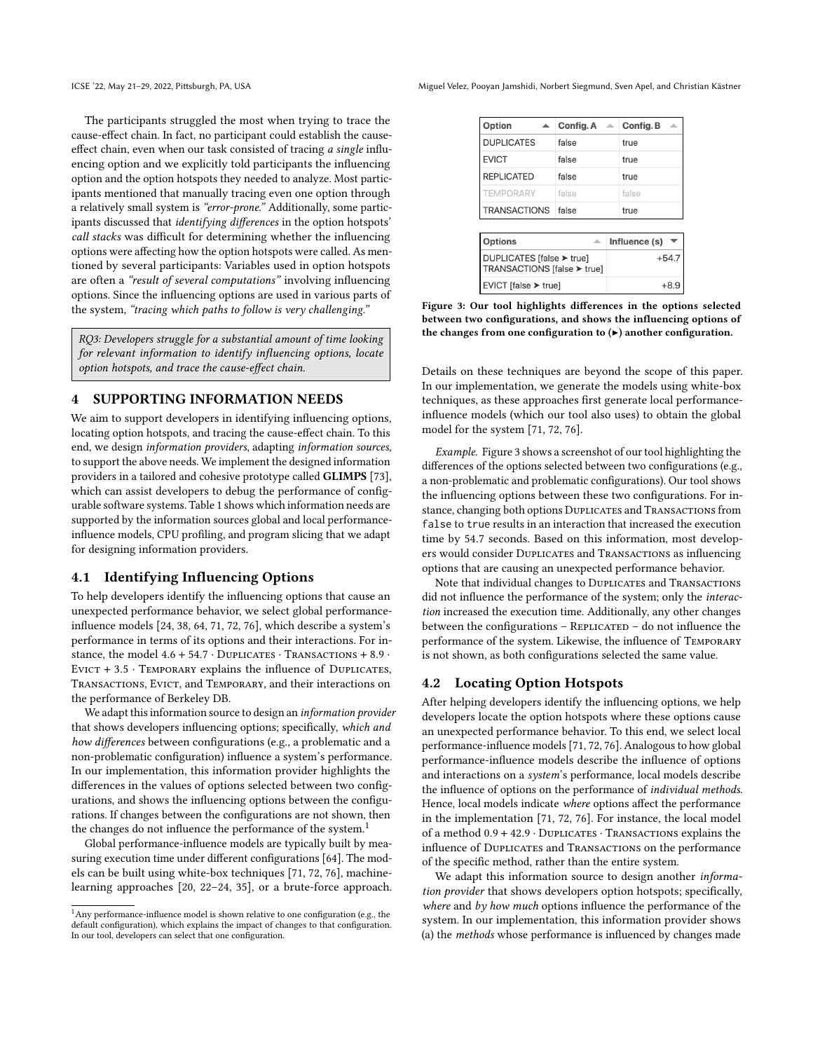The participants struggled the most when trying to trace the cause-effect chain. In fact, no participant could establish the causeeffect chain, even when our task consisted of tracing a single influencing option and we explicitly told participants the influencing option and the option hotspots they needed to analyze. Most participants mentioned that manually tracing even one option through a relatively small system is "error-prone." Additionally, some participants discussed that identifying differences in the option hotspots' call stacks was difficult for determining whether the influencing options were affecting how the option hotspots were called. As mentioned by several participants: Variables used in option hotspots are often a "result of several computations" involving influencing options. Since the influencing options are used in various parts of the system, "tracing which paths to follow is very challenging."

RQ3: Developers struggle for a substantial amount of time looking for relevant information to identify influencing options, locate option hotspots, and trace the cause-effect chain.

## 4 SUPPORTING INFORMATION NEEDS

We aim to support developers in identifying influencing options, locating option hotspots, and tracing the cause-effect chain. To this end, we design information providers, adapting information sources, to support the above needs. We implement the designed information providers in a tailored and cohesive prototype called GLIMPS [\[73\]](#page-12-29), which can assist developers to debug the performance of configurable software systems. Table [1](#page-4-0) shows which information needs are supported by the information sources global and local performanceinfluence models, CPU profiling, and program slicing that we adapt for designing information providers.

### 4.1 Identifying Influencing Options

To help developers identify the influencing options that cause an unexpected performance behavior, we select global performanceinfluence models [\[24,](#page-11-21) [38,](#page-11-22) [64,](#page-12-15) [71,](#page-12-16) [72,](#page-12-17) [76\]](#page-12-18), which describe a system's performance in terms of its options and their interactions. For instance, the model  $4.6 + 54.7 \cdot$  DUPLICATES  $\cdot$  TRANSACTIONS  $+ 8.9 \cdot$ EVICT  $+ 3.5 \cdot$  TEMPORARY explains the influence of DUPLICATES, Transactions, Evict, and Temporary, and their interactions on the performance of Berkeley DB.

We adapt this information source to design an information provider that shows developers influencing options; specifically, which and how differences between configurations (e.g., a problematic and a non-problematic configuration) influence a system's performance. In our implementation, this information provider highlights the differences in the values of options selected between two configurations, and shows the influencing options between the configurations. If changes between the configurations are not shown, then the changes do not influence the performance of the system.<sup>[1](#page-5-0)</sup>

Global performance-influence models are typically built by measuring execution time under different configurations [\[64\]](#page-12-15). The models can be built using white-box techniques [\[71,](#page-12-16) [72,](#page-12-17) [76\]](#page-12-18), machinelearning approaches [\[20,](#page-11-39) [22](#page-11-32)[–24,](#page-11-21) [35\]](#page-11-40), or a brute-force approach.

ICSE '22, May 21–29, 2022, Pittsburgh, PA, USA Miguel Velez, Pooyan Jamshidi, Norbert Siegmund, Sven Apel, and Christian Kästner

<span id="page-5-1"></span>

| Option                                                   | Config. A | Config. B<br>杰 |
|----------------------------------------------------------|-----------|----------------|
| <b>DUPLICATES</b>                                        | false     | true           |
| <b>EVICT</b>                                             | false     | true           |
| <b>REPLICATED</b>                                        | false     | true           |
| <b>TEMPORARY</b>                                         | false     | false          |
| <b>TRANSACTIONS</b>                                      | false     | true           |
|                                                          |           |                |
| <b>Options</b>                                           | ▵         | Influence (s)  |
| DUPLICATES [false ▶ true]<br>TRANSACTIONS [false ▶ true] |           | $+54.7$        |

Figure 3: Our tool highlights differences in the options selected between two configurations, and shows the influencing options of the changes from one configuration to  $(\triangleright)$  another configuration.

 $+8.9$ 

EVICT [false ▶ true]

Details on these techniques are beyond the scope of this paper. In our implementation, we generate the models using white-box techniques, as these approaches first generate local performanceinfluence models (which our tool also uses) to obtain the global model for the system [\[71,](#page-12-16) [72,](#page-12-17) [76\]](#page-12-18).

Example. Figure [3](#page-5-1) shows a screenshot of our tool highlighting the differences of the options selected between two configurations (e.g., a non-problematic and problematic configurations). Our tool shows the influencing options between these two configurations. For instance, changing both options DUPLICATES and TRANSACTIONS from false to true results in an interaction that increased the execution time by 54.7 seconds. Based on this information, most developers would consider DUPLICATES and TRANSACTIONS as influencing options that are causing an unexpected performance behavior.

Note that individual changes to DUPLICATES and TRANSACTIONS did not influence the performance of the system; only the interaction increased the execution time. Additionally, any other changes between the configurations –  $REPLICATED -$  do not influence the performance of the system. Likewise, the influence of Temporary is not shown, as both configurations selected the same value.

## 4.2 Locating Option Hotspots

After helping developers identify the influencing options, we help developers locate the option hotspots where these options cause an unexpected performance behavior. To this end, we select local performance-influence models [\[71,](#page-12-16) [72,](#page-12-17) [76\]](#page-12-18). Analogous to how global performance-influence models describe the influence of options and interactions on a system's performance, local models describe the influence of options on the performance of individual methods. Hence, local models indicate where options affect the performance in the implementation [\[71,](#page-12-16) [72,](#page-12-17) [76\]](#page-12-18). For instance, the local model of a method 0.9 + 42.9 · Duplicates · Transactions explains the influence of DUPLICATES and TRANSACTIONS on the performance of the specific method, rather than the entire system.

We adapt this information source to design another information provider that shows developers option hotspots; specifically, where and by how much options influence the performance of the system. In our implementation, this information provider shows (a) the methods whose performance is influenced by changes made

<span id="page-5-0"></span><sup>1</sup>Any performance-influence model is shown relative to one configuration (e.g., the default configuration), which explains the impact of changes to that configuration. In our tool, developers can select that one configuration.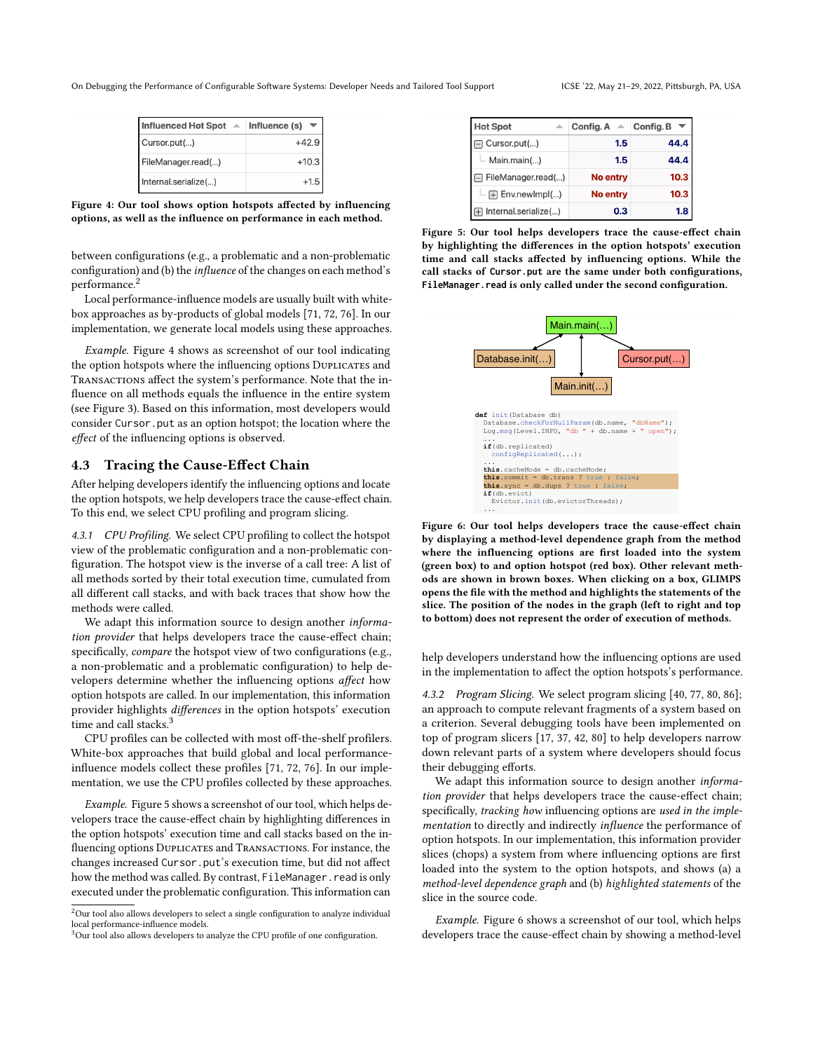<span id="page-6-1"></span>

| <b>Influenced Hot Spot</b> | $\triangle$ Influence (s) |
|----------------------------|---------------------------|
| Cursor.put()               | $+42.9$                   |
| FileManager.read()         | $+10.3$                   |
| Internal.serialize()       | $+1.5$                    |

Figure 4: Our tool shows option hotspots affected by influencing options, as well as the influence on performance in each method.

between configurations (e.g., a problematic and a non-problematic configuration) and (b) the influence of the changes on each method's performance.[2](#page-6-0)

Local performance-influence models are usually built with whitebox approaches as by-products of global models [\[71,](#page-12-16) [72,](#page-12-17) [76\]](#page-12-18). In our implementation, we generate local models using these approaches.

Example. Figure [4](#page-6-1) shows as screenshot of our tool indicating the option hotspots where the influencing options DUPLICATES and TRANSACTIONS affect the system's performance. Note that the influence on all methods equals the influence in the entire system (see Figure [3\)](#page-5-1). Based on this information, most developers would consider Cursor.put as an option hotspot; the location where the effect of the influencing options is observed.

## 4.3 Tracing the Cause-Effect Chain

After helping developers identify the influencing options and locate the option hotspots, we help developers trace the cause-effect chain. To this end, we select CPU profiling and program slicing.

4.3.1 CPU Profiling. We select CPU profiling to collect the hotspot view of the problematic configuration and a non-problematic configuration. The hotspot view is the inverse of a call tree: A list of all methods sorted by their total execution time, cumulated from all different call stacks, and with back traces that show how the methods were called.

We adapt this information source to design another *informa*tion provider that helps developers trace the cause-effect chain; specifically, compare the hotspot view of two configurations (e.g., a non-problematic and a problematic configuration) to help developers determine whether the influencing options affect how option hotspots are called. In our implementation, this information provider highlights differences in the option hotspots' execution time and call stacks.<sup>[3](#page-6-2)</sup>

CPU profiles can be collected with most off-the-shelf profilers. White-box approaches that build global and local performanceinfluence models collect these profiles [\[71,](#page-12-16) [72,](#page-12-17) [76\]](#page-12-18). In our implementation, we use the CPU profiles collected by these approaches.

Example. Figure [5](#page-6-3) shows a screenshot of our tool, which helps developers trace the cause-effect chain by highlighting differences in the option hotspots' execution time and call stacks based on the influencing options DUPLICATES and TRANSACTIONS. For instance, the changes increased Cursor.put's execution time, but did not affect how the method was called. By contrast, FileManager. read is only executed under the problematic configuration. This information can

<span id="page-6-3"></span>

| <b>Hot Spot</b>      | Config. A       | Config. B |
|----------------------|-----------------|-----------|
| Cursor.put()         | 1.5             | 44.4      |
| Main.main()          | 1.5             | 44.4      |
| FileManager.read()   | <b>No entry</b> | 10.3      |
| H Env.newImpl()      | <b>No entry</b> | 10.3      |
| Internal.serialize() | 0.3             | 1.8       |

Figure 5: Our tool helps developers trace the cause-effect chain by highlighting the differences in the option hotspots' execution time and call stacks affected by influencing options. While the call stacks of **Cursor.put** are the same under both configurations, **FileManager.read** is only called under the second configuration.

<span id="page-6-4"></span>

Figure 6: Our tool helps developers trace the cause-effect chain by displaying a method-level dependence graph from the method where the influencing options are first loaded into the system (green box) to and option hotspot (red box). Other relevant methods are shown in brown boxes. When clicking on a box, GLIMPS opens the file with the method and highlights the statements of the slice. The position of the nodes in the graph (left to right and top to bottom) does not represent the order of execution of methods.

help developers understand how the influencing options are used in the implementation to affect the option hotspots's performance.

4.3.2 Program Slicing. We select program slicing [\[40,](#page-11-41) [77,](#page-12-20) [80,](#page-12-30) [86\]](#page-12-2); an approach to compute relevant fragments of a system based on a criterion. Several debugging tools have been implemented on top of program slicers [\[17,](#page-11-42) [37,](#page-11-27) [42,](#page-11-28) [80\]](#page-12-30) to help developers narrow down relevant parts of a system where developers should focus their debugging efforts.

We adapt this information source to design another information provider that helps developers trace the cause-effect chain; specifically, tracking how influencing options are used in the implementation to directly and indirectly influence the performance of option hotspots. In our implementation, this information provider slices (chops) a system from where influencing options are first loaded into the system to the option hotspots, and shows (a) a method-level dependence graph and (b) highlighted statements of the slice in the source code.

Example. Figure [6](#page-6-4) shows a screenshot of our tool, which helps developers trace the cause-effect chain by showing a method-level

<span id="page-6-0"></span> $^2$  Our tool also allows developers to select a single configuration to analyze individual local performance-influence models.

<span id="page-6-2"></span><sup>&</sup>lt;sup>3</sup>Our tool also allows developers to analyze the CPU profile of one configuration.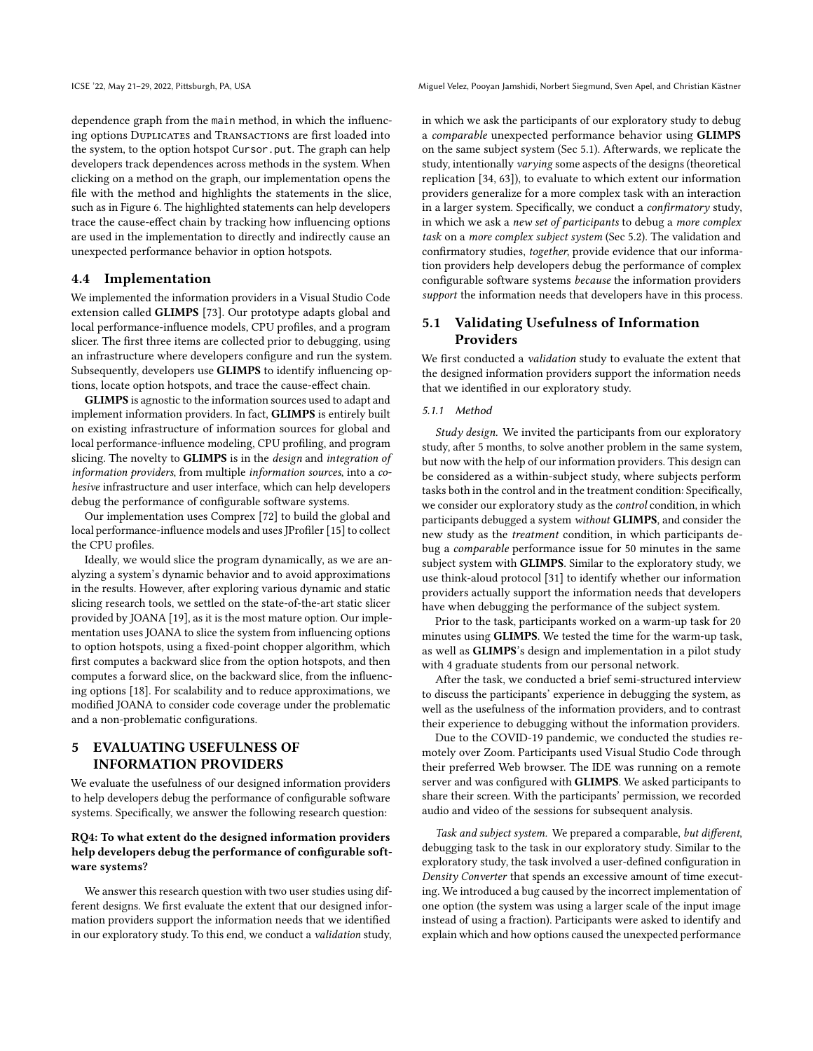ICSE '22, May 21–29, 2022, Pittsburgh, PA, USA Miguel Velez, Pooyan Jamshidi, Norbert Siegmund, Sven Apel, and Christian Kästner

dependence graph from the main method, in which the influencing options DUPLICATES and TRANSACTIONS are first loaded into the system, to the option hotspot Cursor.put. The graph can help developers track dependences across methods in the system. When clicking on a method on the graph, our implementation opens the file with the method and highlights the statements in the slice, such as in Figure [6.](#page-6-4) The highlighted statements can help developers trace the cause-effect chain by tracking how influencing options are used in the implementation to directly and indirectly cause an unexpected performance behavior in option hotspots.

### 4.4 Implementation

We implemented the information providers in a Visual Studio Code extension called GLIMPS [\[73\]](#page-12-29). Our prototype adapts global and local performance-influence models, CPU profiles, and a program slicer. The first three items are collected prior to debugging, using an infrastructure where developers configure and run the system. Subsequently, developers use GLIMPS to identify influencing options, locate option hotspots, and trace the cause-effect chain.

GLIMPS is agnostic to the information sources used to adapt and implement information providers. In fact, GLIMPS is entirely built on existing infrastructure of information sources for global and local performance-influence modeling, CPU profiling, and program slicing. The novelty to GLIMPS is in the design and integration of information providers, from multiple information sources, into a cohesive infrastructure and user interface, which can help developers debug the performance of configurable software systems.

Our implementation uses Comprex [\[72\]](#page-12-17) to build the global and local performance-influence models and uses JProfiler [\[15\]](#page-11-13) to collect the CPU profiles.

Ideally, we would slice the program dynamically, as we are analyzing a system's dynamic behavior and to avoid approximations in the results. However, after exploring various dynamic and static slicing research tools, we settled on the state-of-the-art static slicer provided by JOANA [\[19\]](#page-11-43), as it is the most mature option. Our implementation uses JOANA to slice the system from influencing options to option hotspots, using a fixed-point chopper algorithm, which first computes a backward slice from the option hotspots, and then computes a forward slice, on the backward slice, from the influencing options [\[18\]](#page-11-44). For scalability and to reduce approximations, we modified JOANA to consider code coverage under the problematic and a non-problematic configurations.

## 5 EVALUATING USEFULNESS OF INFORMATION PROVIDERS

We evaluate the usefulness of our designed information providers to help developers debug the performance of configurable software systems. Specifically, we answer the following research question:

## RQ4: To what extent do the designed information providers help developers debug the performance of configurable software systems?

We answer this research question with two user studies using different designs. We first evaluate the extent that our designed information providers support the information needs that we identified in our exploratory study. To this end, we conduct a validation study,

in which we ask the participants of our exploratory study to debug a comparable unexpected performance behavior using GLIMPS on the same subject system (Sec [5.1\)](#page-7-0). Afterwards, we replicate the study, intentionally varying some aspects of the designs (theoretical replication [\[34,](#page-11-45) [63\]](#page-12-31)), to evaluate to which extent our information providers generalize for a more complex task with an interaction in a larger system. Specifically, we conduct a confirmatory study, in which we ask a new set of participants to debug a more complex task on a more complex subject system (Sec [5.2\)](#page-8-0). The validation and confirmatory studies, together, provide evidence that our information providers help developers debug the performance of complex configurable software systems because the information providers support the information needs that developers have in this process.

# <span id="page-7-0"></span>5.1 Validating Usefulness of Information Providers

We first conducted a validation study to evaluate the extent that the designed information providers support the information needs that we identified in our exploratory study.

### 5.1.1 Method

Study design. We invited the participants from our exploratory study, after 5 months, to solve another problem in the same system, but now with the help of our information providers. This design can be considered as a within-subject study, where subjects perform tasks both in the control and in the treatment condition: Specifically, we consider our exploratory study as the control condition, in which participants debugged a system without GLIMPS, and consider the new study as the treatment condition, in which participants debug a comparable performance issue for 50 minutes in the same subject system with GLIMPS. Similar to the exploratory study, we use think-aloud protocol [\[31\]](#page-11-35) to identify whether our information providers actually support the information needs that developers have when debugging the performance of the subject system.

Prior to the task, participants worked on a warm-up task for 20 minutes using GLIMPS. We tested the time for the warm-up task, as well as GLIMPS's design and implementation in a pilot study with 4 graduate students from our personal network.

After the task, we conducted a brief semi-structured interview to discuss the participants' experience in debugging the system, as well as the usefulness of the information providers, and to contrast their experience to debugging without the information providers.

Due to the COVID-19 pandemic, we conducted the studies remotely over Zoom. Participants used Visual Studio Code through their preferred Web browser. The IDE was running on a remote server and was configured with GLIMPS. We asked participants to share their screen. With the participants' permission, we recorded audio and video of the sessions for subsequent analysis.

Task and subject system. We prepared a comparable, but different, debugging task to the task in our exploratory study. Similar to the exploratory study, the task involved a user-defined configuration in Density Converter that spends an excessive amount of time executing. We introduced a bug caused by the incorrect implementation of one option (the system was using a larger scale of the input image instead of using a fraction). Participants were asked to identify and explain which and how options caused the unexpected performance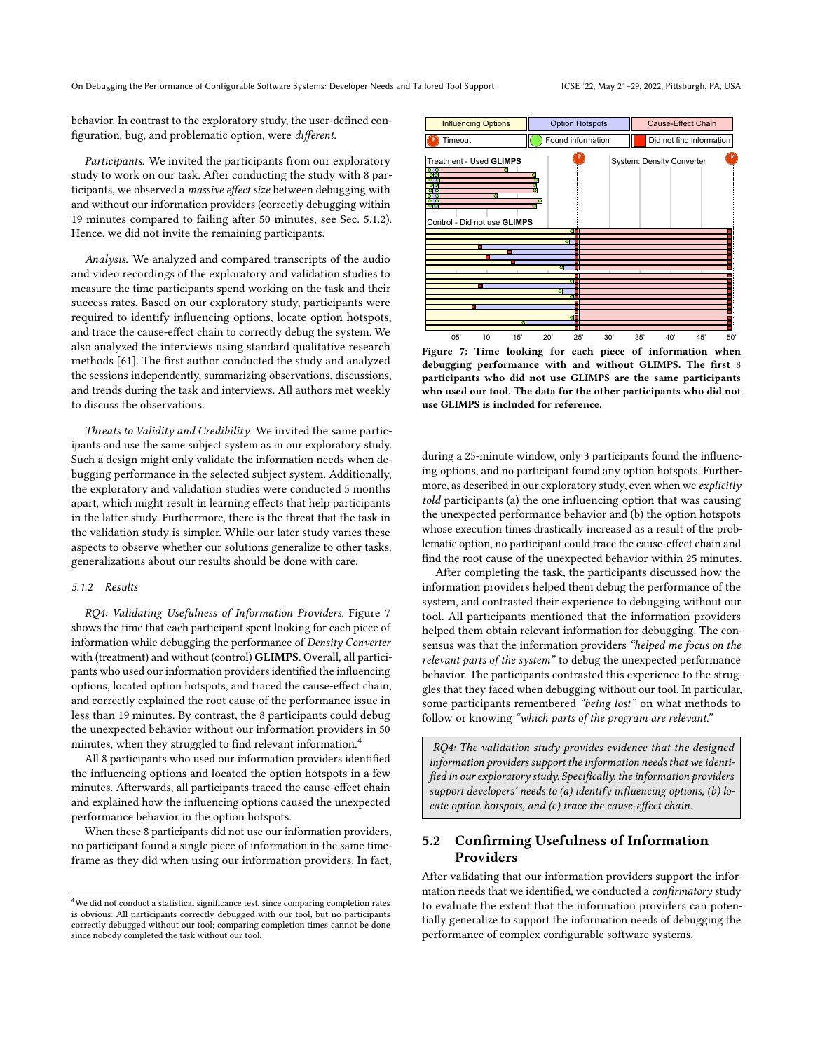behavior. In contrast to the exploratory study, the user-defined configuration, bug, and problematic option, were different.

Participants. We invited the participants from our exploratory study to work on our task. After conducting the study with 8 participants, we observed a massive effect size between debugging with and without our information providers (correctly debugging within 19 minutes compared to failing after 50 minutes, see Sec. [5.1.2\)](#page-8-1). Hence, we did not invite the remaining participants.

Analysis. We analyzed and compared transcripts of the audio and video recordings of the exploratory and validation studies to measure the time participants spend working on the task and their success rates. Based on our exploratory study, participants were required to identify influencing options, locate option hotspots, and trace the cause-effect chain to correctly debug the system. We also analyzed the interviews using standard qualitative research methods [\[61\]](#page-12-28). The first author conducted the study and analyzed the sessions independently, summarizing observations, discussions, and trends during the task and interviews. All authors met weekly to discuss the observations.

Threats to Validity and Credibility. We invited the same participants and use the same subject system as in our exploratory study. Such a design might only validate the information needs when debugging performance in the selected subject system. Additionally, the exploratory and validation studies were conducted 5 months apart, which might result in learning effects that help participants in the latter study. Furthermore, there is the threat that the task in the validation study is simpler. While our later study varies these aspects to observe whether our solutions generalize to other tasks, generalizations about our results should be done with care.

#### <span id="page-8-1"></span>5.1.2 Results

RQ4: Validating Usefulness of Information Providers. Figure [7](#page-8-2) shows the time that each participant spent looking for each piece of information while debugging the performance of Density Converter with (treatment) and without (control) GLIMPS. Overall, all participants who used our information providers identified the influencing options, located option hotspots, and traced the cause-effect chain, and correctly explained the root cause of the performance issue in less than 19 minutes. By contrast, the 8 participants could debug the unexpected behavior without our information providers in 50 minutes, when they struggled to find relevant information.<sup>[4](#page-8-3)</sup>

All 8 participants who used our information providers identified the influencing options and located the option hotspots in a few minutes. Afterwards, all participants traced the cause-effect chain and explained how the influencing options caused the unexpected performance behavior in the option hotspots.

When these 8 participants did not use our information providers, no participant found a single piece of information in the same timeframe as they did when using our information providers. In fact,

<span id="page-8-2"></span>

Figure 7: Time looking for each piece of information when debugging performance with and without GLIMPS. The first 8 participants who did not use GLIMPS are the same participants who used our tool. The data for the other participants who did not use GLIMPS is included for reference.

during a 25-minute window, only 3 participants found the influencing options, and no participant found any option hotspots. Furthermore, as described in our exploratory study, even when we explicitly told participants (a) the one influencing option that was causing the unexpected performance behavior and (b) the option hotspots whose execution times drastically increased as a result of the problematic option, no participant could trace the cause-effect chain and find the root cause of the unexpected behavior within 25 minutes.

After completing the task, the participants discussed how the information providers helped them debug the performance of the system, and contrasted their experience to debugging without our tool. All participants mentioned that the information providers helped them obtain relevant information for debugging. The consensus was that the information providers "helped me focus on the relevant parts of the system" to debug the unexpected performance behavior. The participants contrasted this experience to the struggles that they faced when debugging without our tool. In particular, some participants remembered "being lost" on what methods to follow or knowing "which parts of the program are relevant."

RQ4: The validation study provides evidence that the designed information providers support the information needs that we identified in our exploratory study. Specifically, the information providers support developers' needs to (a) identify influencing options, (b) locate option hotspots, and (c) trace the cause-effect chain.

# <span id="page-8-0"></span>5.2 Confirming Usefulness of Information **Providers**

After validating that our information providers support the information needs that we identified, we conducted a confirmatory study to evaluate the extent that the information providers can potentially generalize to support the information needs of debugging the performance of complex configurable software systems.

<span id="page-8-3"></span> ${}^{4}\mathrm{We}$  did not conduct a statistical significance test, since comparing completion rates is obvious: All participants correctly debugged with our tool, but no participants correctly debugged without our tool; comparing completion times cannot be done since nobody completed the task without our tool.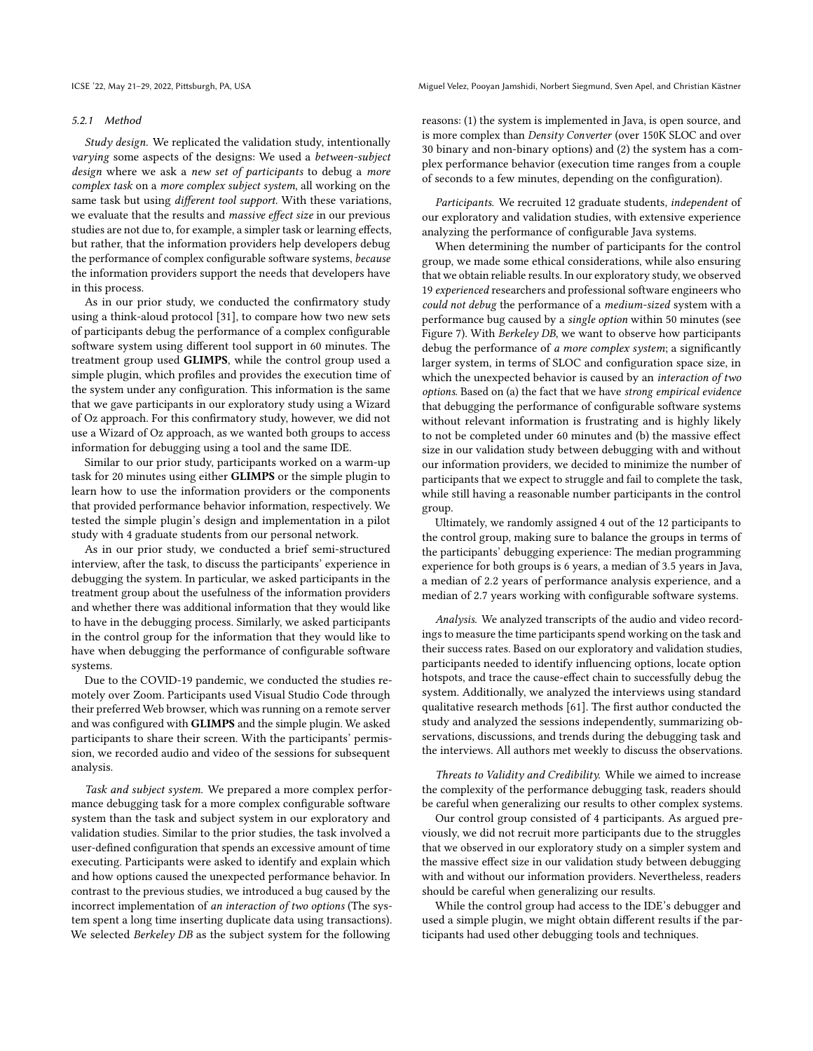#### 5.2.1 Method

Study design. We replicated the validation study, intentionally varying some aspects of the designs: We used a between-subject design where we ask a new set of participants to debug a more complex task on a more complex subject system, all working on the same task but using different tool support. With these variations, we evaluate that the results and massive effect size in our previous studies are not due to, for example, a simpler task or learning effects, but rather, that the information providers help developers debug the performance of complex configurable software systems, because the information providers support the needs that developers have in this process.

As in our prior study, we conducted the confirmatory study using a think-aloud protocol [\[31\]](#page-11-35), to compare how two new sets of participants debug the performance of a complex configurable software system using different tool support in 60 minutes. The treatment group used GLIMPS, while the control group used a simple plugin, which profiles and provides the execution time of the system under any configuration. This information is the same that we gave participants in our exploratory study using a Wizard of Oz approach. For this confirmatory study, however, we did not use a Wizard of Oz approach, as we wanted both groups to access information for debugging using a tool and the same IDE.

Similar to our prior study, participants worked on a warm-up task for 20 minutes using either GLIMPS or the simple plugin to learn how to use the information providers or the components that provided performance behavior information, respectively. We tested the simple plugin's design and implementation in a pilot study with 4 graduate students from our personal network.

As in our prior study, we conducted a brief semi-structured interview, after the task, to discuss the participants' experience in debugging the system. In particular, we asked participants in the treatment group about the usefulness of the information providers and whether there was additional information that they would like to have in the debugging process. Similarly, we asked participants in the control group for the information that they would like to have when debugging the performance of configurable software systems.

Due to the COVID-19 pandemic, we conducted the studies remotely over Zoom. Participants used Visual Studio Code through their preferred Web browser, which was running on a remote server and was configured with GLIMPS and the simple plugin. We asked participants to share their screen. With the participants' permission, we recorded audio and video of the sessions for subsequent analysis.

Task and subject system. We prepared a more complex performance debugging task for a more complex configurable software system than the task and subject system in our exploratory and validation studies. Similar to the prior studies, the task involved a user-defined configuration that spends an excessive amount of time executing. Participants were asked to identify and explain which and how options caused the unexpected performance behavior. In contrast to the previous studies, we introduced a bug caused by the incorrect implementation of an interaction of two options (The system spent a long time inserting duplicate data using transactions). We selected Berkeley DB as the subject system for the following

ICSE '22, May 21–29, 2022, Pittsburgh, PA, USA Miguel Velez, Pooyan Jamshidi, Norbert Siegmund, Sven Apel, and Christian Kästner

reasons: (1) the system is implemented in Java, is open source, and is more complex than Density Converter (over 150K SLOC and over 30 binary and non-binary options) and (2) the system has a complex performance behavior (execution time ranges from a couple of seconds to a few minutes, depending on the configuration).

Participants. We recruited 12 graduate students, independent of our exploratory and validation studies, with extensive experience analyzing the performance of configurable Java systems.

When determining the number of participants for the control group, we made some ethical considerations, while also ensuring that we obtain reliable results. In our exploratory study, we observed 19 experienced researchers and professional software engineers who could not debug the performance of a medium-sized system with a performance bug caused by a single option within 50 minutes (see Figure [7\)](#page-8-2). With Berkeley DB, we want to observe how participants debug the performance of a more complex system; a significantly larger system, in terms of SLOC and configuration space size, in which the unexpected behavior is caused by an interaction of two options. Based on (a) the fact that we have strong empirical evidence that debugging the performance of configurable software systems without relevant information is frustrating and is highly likely to not be completed under 60 minutes and (b) the massive effect size in our validation study between debugging with and without our information providers, we decided to minimize the number of participants that we expect to struggle and fail to complete the task, while still having a reasonable number participants in the control group.

Ultimately, we randomly assigned 4 out of the 12 participants to the control group, making sure to balance the groups in terms of the participants' debugging experience: The median programming experience for both groups is 6 years, a median of 3.5 years in Java, a median of 2.2 years of performance analysis experience, and a median of 2.7 years working with configurable software systems.

Analysis. We analyzed transcripts of the audio and video recordings to measure the time participants spend working on the task and their success rates. Based on our exploratory and validation studies, participants needed to identify influencing options, locate option hotspots, and trace the cause-effect chain to successfully debug the system. Additionally, we analyzed the interviews using standard qualitative research methods [\[61\]](#page-12-28). The first author conducted the study and analyzed the sessions independently, summarizing observations, discussions, and trends during the debugging task and the interviews. All authors met weekly to discuss the observations.

Threats to Validity and Credibility. While we aimed to increase the complexity of the performance debugging task, readers should be careful when generalizing our results to other complex systems.

Our control group consisted of 4 participants. As argued previously, we did not recruit more participants due to the struggles that we observed in our exploratory study on a simpler system and the massive effect size in our validation study between debugging with and without our information providers. Nevertheless, readers should be careful when generalizing our results.

While the control group had access to the IDE's debugger and used a simple plugin, we might obtain different results if the participants had used other debugging tools and techniques.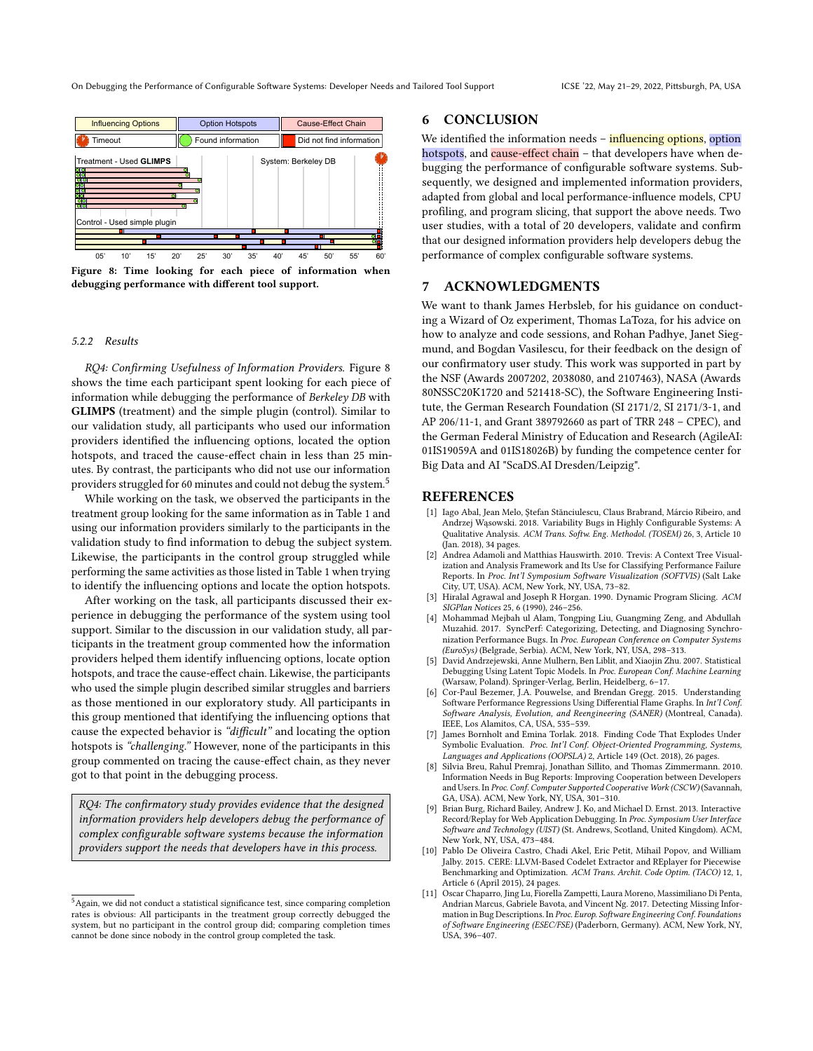On Debugging the Performance of Configurable Software Systems: Developer Needs and Tailored Tool Support ICSE '22, May 21–29, 2022, Pittsburgh, PA, USA

<span id="page-10-11"></span>

Figure 8: Time looking for each piece of information when debugging performance with different tool support.

#### 5.2.2 Results

RQ4: Confirming Usefulness of Information Providers. Figure [8](#page-10-11) shows the time each participant spent looking for each piece of information while debugging the performance of Berkeley DB with GLIMPS (treatment) and the simple plugin (control). Similar to our validation study, all participants who used our information providers identified the influencing options, located the option hotspots, and traced the cause-effect chain in less than 25 minutes. By contrast, the participants who did not use our information providers struggled for 60 minutes and could not debug the system.<sup>[5](#page-10-12)</sup>

While working on the task, we observed the participants in the treatment group looking for the same information as in Table [1](#page-4-0) and using our information providers similarly to the participants in the validation study to find information to debug the subject system. Likewise, the participants in the control group struggled while performing the same activities as those listed in Table [1](#page-4-0) when trying to identify the influencing options and locate the option hotspots.

After working on the task, all participants discussed their experience in debugging the performance of the system using tool support. Similar to the discussion in our validation study, all participants in the treatment group commented how the information providers helped them identify influencing options, locate option hotspots, and trace the cause-effect chain. Likewise, the participants who used the simple plugin described similar struggles and barriers as those mentioned in our exploratory study. All participants in this group mentioned that identifying the influencing options that cause the expected behavior is "difficult" and locating the option hotspots is "challenging." However, none of the participants in this group commented on tracing the cause-effect chain, as they never got to that point in the debugging process.

RQ4: The confirmatory study provides evidence that the designed information providers help developers debug the performance of complex configurable software systems because the information providers support the needs that developers have in this process.

## 6 CONCLUSION

We identified the information needs - influencing options, option hotspots, and cause-effect chain - that developers have when debugging the performance of configurable software systems. Subsequently, we designed and implemented information providers, adapted from global and local performance-influence models, CPU profiling, and program slicing, that support the above needs. Two user studies, with a total of 20 developers, validate and confirm that our designed information providers help developers debug the performance of complex configurable software systems.

## 7 ACKNOWLEDGMENTS

We want to thank James Herbsleb, for his guidance on conducting a Wizard of Oz experiment, Thomas LaToza, for his advice on how to analyze and code sessions, and Rohan Padhye, Janet Siegmund, and Bogdan Vasilescu, for their feedback on the design of our confirmatory user study. This work was supported in part by the NSF (Awards 2007202, 2038080, and 2107463), NASA (Awards 80NSSC20K1720 and 521418-SC), the Software Engineering Institute, the German Research Foundation (SI 2171/2, SI 2171/3-1, and AP 206/11-1, and Grant 389792660 as part of TRR 248 – CPEC), and the German Federal Ministry of Education and Research (AgileAI: 01IS19059A and 01IS18026B) by funding the competence center for Big Data and AI "ScaDS.AI Dresden/Leipzig".

## REFERENCES

- <span id="page-10-10"></span>[1] Iago Abal, Jean Melo, Ştefan Stănciulescu, Claus Brabrand, Márcio Ribeiro, and Andrzej Wąsowski. 2018. Variability Bugs in Highly Configurable Systems: A Qualitative Analysis. ACM Trans. Softw. Eng. Methodol. (TOSEM) 26, 3, Article 10 (Jan. 2018), 34 pages.
- <span id="page-10-4"></span>[2] Andrea Adamoli and Matthias Hauswirth. 2010. Trevis: A Context Tree Visualization and Analysis Framework and Its Use for Classifying Performance Failure Reports. In Proc. Int'l Symposium Software Visualization (SOFTVIS) (Salt Lake City, UT, USA). ACM, New York, NY, USA, 73–82.
- <span id="page-10-7"></span>[3] Hiralal Agrawal and Joseph R Horgan. 1990. Dynamic Program Slicing. ACM SIGPlan Notices 25, 6 (1990), 246–256.
- <span id="page-10-3"></span>[4] Mohammad Mejbah ul Alam, Tongping Liu, Guangming Zeng, and Abdullah Muzahid. 2017. SyncPerf: Categorizing, Detecting, and Diagnosing Synchronization Performance Bugs. In Proc. European Conference on Computer Systems (EuroSys) (Belgrade, Serbia). ACM, New York, NY, USA, 298–313.
- <span id="page-10-8"></span>[5] David Andrzejewski, Anne Mulhern, Ben Liblit, and Xiaojin Zhu. 2007. Statistical Debugging Using Latent Topic Models. In Proc. European Conf. Machine Learning (Warsaw, Poland). Springer-Verlag, Berlin, Heidelberg, 6–17.
- <span id="page-10-5"></span>[6] Cor-Paul Bezemer, J.A. Pouwelse, and Brendan Gregg. 2015. Understanding Software Performance Regressions Using Differential Flame Graphs. In Int'l Conf. Software Analysis, Evolution, and Reengineering (SANER) (Montreal, Canada). IEEE, Los Alamitos, CA, USA, 535–539.
- <span id="page-10-6"></span>[7] James Bornholt and Emina Torlak. 2018. Finding Code That Explodes Under Symbolic Evaluation. Proc. Int'l Conf. Object-Oriented Programming, Systems, Languages and Applications (OOPSLA) 2, Article 149 (Oct. 2018), 26 pages.
- <span id="page-10-0"></span>Silvia Breu, Rahul Premraj, Jonathan Sillito, and Thomas Zimmermann. 2010. Information Needs in Bug Reports: Improving Cooperation between Developers and Users. In Proc. Conf. Computer Supported Cooperative Work (CSCW) (Savannah, GA, USA). ACM, New York, NY, USA, 301–310.
- <span id="page-10-9"></span>[9] Brian Burg, Richard Bailey, Andrew J. Ko, and Michael D. Ernst. 2013. Interactive Record/Replay for Web Application Debugging. In Proc. Symposium User Interface Software and Technology (UIST) (St. Andrews, Scotland, United Kingdom). ACM, New York, NY, USA, 473–484.
- <span id="page-10-2"></span>[10] Pablo De Oliveira Castro, Chadi Akel, Eric Petit, Mihail Popov, and William Jalby. 2015. CERE: LLVM-Based Codelet Extractor and REplayer for Piecewise Benchmarking and Optimization. ACM Trans. Archit. Code Optim. (TACO) 12, 1, Article 6 (April 2015), 24 pages.
- <span id="page-10-1"></span>[11] Oscar Chaparro, Jing Lu, Fiorella Zampetti, Laura Moreno, Massimiliano Di Penta, Andrian Marcus, Gabriele Bavota, and Vincent Ng. 2017. Detecting Missing Information in Bug Descriptions. In Proc. Europ. Software Engineering Conf. Foundations of Software Engineering (ESEC/FSE) (Paderborn, Germany). ACM, New York, NY, USA, 396–407.

<span id="page-10-12"></span><sup>5</sup>Again, we did not conduct a statistical significance test, since comparing completion rates is obvious: All participants in the treatment group correctly debugged the system, but no participant in the control group did; comparing completion times cannot be done since nobody in the control group completed the task.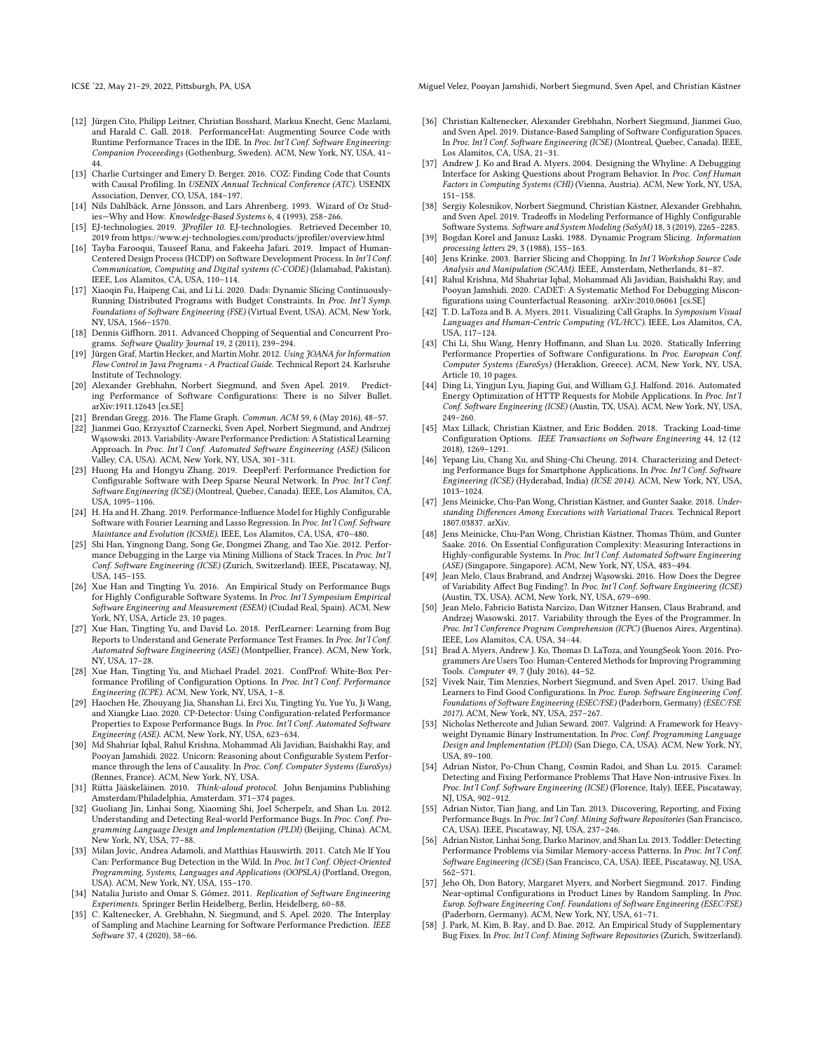- <span id="page-11-10"></span>[12] Jürgen Cito, Philipp Leitner, Christian Bosshard, Markus Knecht, Genc Mazlami, and Harald C. Gall. 2018. PerformanceHat: Augmenting Source Code with Runtime Performance Traces in the IDE. In Proc. Int'l Conf. Software Engineering: Companion Proceeedings (Gothenburg, Sweden). ACM, New York, NY, USA, 41– 44.
- <span id="page-11-11"></span>[13] Charlie Curtsinger and Emery D. Berger. 2016. COZ: Finding Code that Counts with Causal Profiling. In USENIX Annual Technical Conference (ATC). USENIX Association, Denver, CO, USA, 184–197.
- <span id="page-11-36"></span>[14] Nils Dahlbäck, Arne Jönsson, and Lars Ahrenberg. 1993. Wizard of Oz Studies—Why and How. Knowledge-Based Systems 6, 4 (1993), 258–266.
- <span id="page-11-13"></span>[15] EJ-technologies. 2019. JProfiler 10. EJ-technologies. Retrieved December 10, 2019 from<https://www.ej-technologies.com/products/jprofiler/overview.html>
- <span id="page-11-24"></span>[16] Tayba Farooqui, Tauseef Rana, and Fakeeha Jafari. 2019. Impact of Human-Centered Design Process (HCDP) on Software Development Process. In Int'l Conf. Communication, Computing and Digital systems (C-CODE) (Islamabad, Pakistan). IEEE, Los Alamitos, CA, USA, 110–114.
- <span id="page-11-42"></span>[17] Xiaoqin Fu, Haipeng Cai, and Li Li. 2020. Dads: Dynamic Slicing Continuously-Running Distributed Programs with Budget Constraints. In Proc. Int'l Symp. Foundations of Software Engineering (FSE) (Virtual Event, USA). ACM, New York, NY, USA, 1566–1570.
- <span id="page-11-44"></span>[18] Dennis Giffhorn. 2011. Advanced Chopping of Sequential and Concurrent Programs. Software Quality Journal 19, 2 (2011), 239–294.
- <span id="page-11-43"></span>[19] Jürgen Graf, Martin Hecker, and Martin Mohr. 2012. Using JOANA for Information Flow Control in Java Programs - A Practical Guide. Technical Report 24. Karlsruhe Institute of Technology.
- <span id="page-11-39"></span>[20] Alexander Grebhahn, Norbert Siegmund, and Sven Apel. 2019. Predicting Performance of Software Configurations: There is no Silver Bullet. arXiv[:1911.12643](https://arxiv.org/abs/1911.12643) [cs.SE]
- <span id="page-11-12"></span>[21] Brendan Gregg. 2016. The Flame Graph. Commun. ACM 59, 6 (May 2016), 48–57.
- <span id="page-11-32"></span>[22] Jianmei Guo, Krzysztof Czarnecki, Sven Apel, Norbert Siegmund, and Andrzej Wąsowski. 2013. Variability-Aware Performance Prediction: A Statistical Learning Approach. In Proc. Int'l Conf. Automated Software Engineering (ASE) (Silicon Valley, CA, USA). ACM, New York, NY, USA, 301–311.
- [23] Huong Ha and Hongyu Zhang. 2019. DeepPerf: Performance Prediction for Configurable Software with Deep Sparse Neural Network. In Proc. Int'l Conf. Software Engineering (ICSE) (Montreal, Quebec, Canada). IEEE, Los Alamitos, CA, USA, 1095–1106.
- <span id="page-11-21"></span>[24] H. Ha and H. Zhang. 2019. Performance-Influence Model for Highly Configurable Software with Fourier Learning and Lasso Regression. In Proc. Int'l Conf. Software Maintance and Evolution (ICSME). IEEE, Los Alamitos, CA, USA, 470–480.
- <span id="page-11-26"></span>[25] Shi Han, Yingnong Dang, Song Ge, Dongmei Zhang, and Tao Xie. 2012. Performance Debugging in the Large via Mining Millions of Stack Traces. In Proc. Int'l Conf. Software Engineering (ICSE) (Zurich, Switzerland). IEEE, Piscataway, NJ, USA, 145–155.
- <span id="page-11-0"></span>[26] Xue Han and Tingting Yu. 2016. An Empirical Study on Performance Bugs for Highly Configurable Software Systems. In Proc. Int'l Symposium Empirical Software Engineering and Measurement (ESEM) (Ciudad Real, Spain). ACM, New York, NY, USA, Article 23, 10 pages.
- <span id="page-11-6"></span>[27] Xue Han, Tingting Yu, and David Lo. 2018. PerfLearner: Learning from Bug Reports to Understand and Generate Performance Test Frames. In Proc. Int'l Conf. Automated Software Engineering (ASE) (Montpellier, France). ACM, New York, NY, USA, 17–28.
- <span id="page-11-30"></span>[28] Xue Han, Tingting Yu, and Michael Pradel. 2021. ConfProf: White-Box Performance Profiling of Configuration Options. In Proc. Int'l Conf. Performance Engineering (ICPE). ACM, New York, NY, USA, 1–8.
- <span id="page-11-8"></span>[29] Haochen He, Zhouyang Jia, Shanshan Li, Erci Xu, Tingting Yu, Yue Yu, Ji Wang, and Xiangke Liao. 2020. CP-Detector: Using Configuration-related Performance Properties to Expose Performance Bugs. In Proc. Int'l Conf. Automated Software Engineering (ASE). ACM, New York, NY, USA, 623–634.
- <span id="page-11-1"></span>[30] Md Shahriar Iqbal, Rahul Krishna, Mohammad Ali Javidian, Baishakhi Ray, and Pooyan Jamshidi. 2022. Unicorn: Reasoning about Configurable System Performance through the lens of Causality. In Proc. Conf. Computer Systems (EuroSys) (Rennes, France). ACM, New York, NY, USA.
- <span id="page-11-35"></span>[31] Riitta Jääskeläinen. 2010. Think-aloud protocol. John Benjamins Publishing Amsterdam/Philadelphia, Amsterdam. 371–374 pages.
- <span id="page-11-2"></span>[32] Guoliang Jin, Linhai Song, Xiaoming Shi, Joel Scherpelz, and Shan Lu. 2012. Understanding and Detecting Real-world Performance Bugs. In Proc. Conf. Programming Language Design and Implementation (PLDI) (Beijing, China). ACM, New York, NY, USA, 77–88.
- <span id="page-11-3"></span>[33] Milan Jovic, Andrea Adamoli, and Matthias Hauswirth. 2011. Catch Me If You Can: Performance Bug Detection in the Wild. In Proc. Int'l Conf. Object-Oriented Programming, Systems, Languages and Applications (OOPSLA) (Portland, Oregon, USA). ACM, New York, NY, USA, 155–170.
- <span id="page-11-45"></span>[34] Natalia Juristo and Omar S. Gómez. 2011. Replication of Software Engineering Experiments. Springer Berlin Heidelberg, Berlin, Heidelberg, 60–88.
- <span id="page-11-40"></span>[35] C. Kaltenecker, A. Grebhahn, N. Siegmund, and S. Apel. 2020. The Interplay of Sampling and Machine Learning for Software Performance Prediction. IEEE Software 37, 4 (2020), 58–66.

ICSE '22, May 21–29, 2022, Pittsburgh, PA, USA Miguel Velez, Pooyan Jamshidi, Norbert Siegmund, Sven Apel, and Christian Kästner

- <span id="page-11-31"></span>[36] Christian Kaltenecker, Alexander Grebhahn, Norbert Siegmund, Jianmei Guo, and Sven Apel. 2019. Distance-Based Sampling of Software Configuration Spaces. In Proc. Int'l Conf. Software Engineering (ICSE) (Montreal, Quebec, Canada). IEEE, Los Alamitos, CA, USA, 21–31.
- <span id="page-11-27"></span>[37] Andrew J. Ko and Brad A. Myers. 2004. Designing the Whyline: A Debugging Interface for Asking Questions about Program Behavior. In Proc. Conf Human Factors in Computing Systems (CHI) (Vienna, Austria). ACM, New York, NY, USA, 151–158.
- <span id="page-11-22"></span>[38] Sergiy Kolesnikov, Norbert Siegmund, Christian Kästner, Alexander Grebhahn, and Sven Apel. 2019. Tradeoffs in Modeling Performance of Highly Configurable Software Systems. Software and System Modeling (SoSyM) 18, 3 (2019), 2265–2283.
- <span id="page-11-23"></span>[39] Bogdan Korel and Janusz Laski. 1988. Dynamic Program Slicing. Information processing letters 29, 3 (1988), 155–163.
- <span id="page-11-41"></span>[40] Jens Krinke. 2003. Barrier Slicing and Chopping. In Int'l Workshop Source Code Analysis and Manipulation (SCAM). IEEE, Amsterdam, Netherlands, 81–87.
- <span id="page-11-7"></span>[41] Rahul Krishna, Md Shahriar Iqbal, Mohammad Ali Javidian, Baishakhi Ray, and Pooyan Jamshidi. 2020. CADET: A Systematic Method For Debugging Misconfigurations using Counterfactual Reasoning. arXiv[:2010.06061](https://arxiv.org/abs/2010.06061) [cs.SE]
- <span id="page-11-28"></span>[42] T. D. LaToza and B. A. Myers. 2011. Visualizing Call Graphs. In Symposium Visual Languages and Human-Centric Computing (VL/HCC). IEEE, Los Alamitos, CA, USA, 117–124.
- <span id="page-11-18"></span>[43] Chi Li, Shu Wang, Henry Hoffmann, and Shan Lu. 2020. Statically Inferring Performance Properties of Software Configurations. In Proc. European Conf. Computer Systems (EuroSys) (Heraklion, Greece). ACM, New York, NY, USA, Article 10, 10 pages.
- <span id="page-11-9"></span>[44] Ding Li, Yingjun Lyu, Jiaping Gui, and William G.J. Halfond. 2016. Automated Energy Optimization of HTTP Requests for Mobile Applications. In Proc. Int'l Conf. Software Engineering (ICSE) (Austin, TX, USA). ACM, New York, NY, USA, 249–260.
- <span id="page-11-19"></span>[45] Max Lillack, Christian Kästner, and Eric Bodden. 2018. Tracking Load-time Configuration Options. IEEE Transactions on Software Engineering 44, 12 (12 2018), 1269–1291.
- <span id="page-11-15"></span>[46] Yepang Liu, Chang Xu, and Shing-Chi Cheung. 2014. Characterizing and Detecting Performance Bugs for Smartphone Applications. In Proc. Int'l Conf. Software Engineering (ICSE) (Hyderabad, India) (ICSE 2014). ACM, New York, NY, USA, 1013–1024.
- <span id="page-11-29"></span>[47] Jens Meinicke, Chu-Pan Wong, Christian Kästner, and Gunter Saake. 2018. Understanding Differences Among Executions with Variational Traces. Technical Report 1807.03837. arXiv.
- <span id="page-11-20"></span>[48] Jens Meinicke, Chu-Pan Wong, Christian Kästner, Thomas Thüm, and Gunter Saake. 2016. On Essential Configuration Complexity: Measuring Interactions in Highly-configurable Systems. In Proc. Int'l Conf. Automated Software Engineering (ASE) (Singapore, Singapore). ACM, New York, NY, USA, 483–494.
- <span id="page-11-37"></span>[49] Jean Melo, Claus Brabrand, and Andrzej Wąsowski. 2016. How Does the Degree of Variability Affect Bug Finding?. In Proc. Int'l Conf. Software Engineering (ICSE) (Austin, TX, USA). ACM, New York, NY, USA, 679–690.
- <span id="page-11-38"></span>[50] Jean Melo, Fabricio Batista Narcizo, Dan Witzner Hansen, Claus Brabrand, and Andrzej Wasowski. 2017. Variability through the Eyes of the Programmer. In Proc. Int'l Conference Program Comprehension (ICPC) (Buenos Aires, Argentina). IEEE, Los Alamitos, CA, USA, 34–44.
- <span id="page-11-25"></span>[51] Brad A. Myers, Andrew J. Ko, Thomas D. LaToza, and YoungSeok Yoon. 2016. Programmers Are Users Too: Human-Centered Methods for Improving Programming Tools. Computer 49, 7 (July 2016), 44–52.
- <span id="page-11-33"></span>[52] Vivek Nair, Tim Menzies, Norbert Siegmund, and Sven Apel. 2017. Using Bad Learners to Find Good Configurations. In Proc. Europ. Software Engineering Conf. Foundations of Software Engineering (ESEC/FSE) (Paderborn, Germany) (ESEC/FSE 2017). ACM, New York, NY, USA, 257–267.
- <span id="page-11-14"></span>[53] Nicholas Nethercote and Julian Seward. 2007. Valgrind: A Framework for Heavyweight Dynamic Binary Instrumentation. In Proc. Conf. Programming Language Design and Implementation (PLDI) (San Diego, CA, USA). ACM, New York, NY, USA, 89–100.
- <span id="page-11-16"></span>[54] Adrian Nistor, Po-Chun Chang, Cosmin Radoi, and Shan Lu. 2015. Caramel: Detecting and Fixing Performance Problems That Have Non-intrusive Fixes. In Proc. Int'l Conf. Software Engineering (ICSE) (Florence, Italy). IEEE, Piscataway, NJ, USA, 902–912.
- <span id="page-11-4"></span>[55] Adrian Nistor, Tian Jiang, and Lin Tan. 2013. Discovering, Reporting, and Fixing Performance Bugs. In Proc. Int'l Conf. Mining Software Repositories (San Francisco, CA, USA). IEEE, Piscataway, NJ, USA, 237–246.
- <span id="page-11-17"></span>[56] Adrian Nistor, Linhai Song, Darko Marinov, and Shan Lu. 2013. Toddler: Detecting Performance Problems via Similar Memory-access Patterns. In Proc. Int'l Conf. Software Engineering (ICSE) (San Francisco, CA, USA). IEEE, Piscataway, NJ, USA, 562–571.
- <span id="page-11-34"></span>[57] Jeho Oh, Don Batory, Margaret Myers, and Norbert Siegmund. 2017. Finding Near-optimal Configurations in Product Lines by Random Sampling. In Proc. Europ. Software Engineering Conf. Foundations of Software Engineering (ESEC/FSE) (Paderborn, Germany). ACM, New York, NY, USA, 61–71.
- <span id="page-11-5"></span>[58] J. Park, M. Kim, B. Ray, and D. Bae. 2012. An Empirical Study of Supplementary Bug Fixes. In Proc. Int'l Conf. Mining Software Repositories (Zurich, Switzerland).